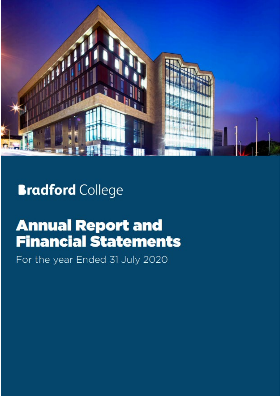

**Bradford** College

# **Annual Report and Financial Statements**

For the year Ended 31 July 2020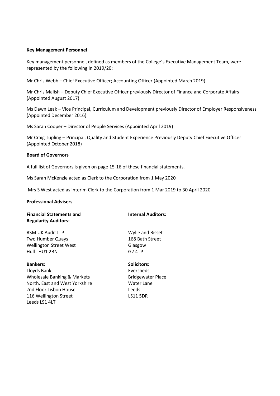#### **Key Management Personnel**

Key management personnel, defined as members of the College's Executive Management Team, were represented by the following in 2019/20:

Mr Chris Webb – Chief Executive Officer; Accounting Officer (Appointed March 2019)

Mr Chris Malish – Deputy Chief Executive Officer previously Director of Finance and Corporate Affairs (Appointed August 2017)

Ms Dawn Leak – Vice Principal, Curriculum and Development previously Director of Employer Responsiveness (Appointed December 2016)

Ms Sarah Cooper – Director of People Services (Appointed April 2019)

Mr Craig Tupling – Principal, Quality and Student Experience Previously Deputy Chief Executive Officer (Appointed October 2018)

#### **Board of Governors**

A full list of Governors is given on page 15-16 of these financial statements.

Ms Sarah McKenzie acted as Clerk to the Corporation from 1 May 2020

Mrs S West acted as interim Clerk to the Corporation from 1 Mar 2019 to 30 April 2020

#### **Professional Advisers**

**Financial Statements and Internal Auditors: Regularity Auditors:**

RSM UK Audit LLP Wylie and Bisset Two Humber Quays 168 Bath Street Wellington Street West **Glasgow** Hull HU1 2BN G2 4TP

#### **Bankers: Solicitors: Solicitors:**

Lloyds Bank Eversheds Wholesale Banking & Markets Bridgewater Place North, East and West Yorkshire Water Lane 2nd Floor Lisbon House Leeds 116 Wellington Street LS11 5DR Leeds LS1 4LT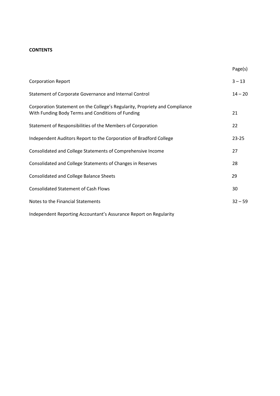### **CONTENTS**

|                                                                                                                                  | Page(s)   |
|----------------------------------------------------------------------------------------------------------------------------------|-----------|
| <b>Corporation Report</b>                                                                                                        | $3 - 13$  |
| Statement of Corporate Governance and Internal Control                                                                           | $14 - 20$ |
| Corporation Statement on the College's Regularity, Propriety and Compliance<br>With Funding Body Terms and Conditions of Funding | 21        |
| Statement of Responsibilities of the Members of Corporation                                                                      | 22        |
| Independent Auditors Report to the Corporation of Bradford College                                                               | $23 - 25$ |
| Consolidated and College Statements of Comprehensive Income                                                                      | 27        |
| Consolidated and College Statements of Changes in Reserves                                                                       | 28        |
| <b>Consolidated and College Balance Sheets</b>                                                                                   | 29        |
| <b>Consolidated Statement of Cash Flows</b>                                                                                      | 30        |
| Notes to the Financial Statements                                                                                                | $32 - 59$ |
|                                                                                                                                  |           |

Independent Reporting Accountant's Assurance Report on Regularity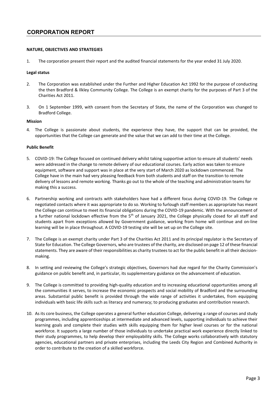### **CORPORATION REPORT**

#### **NATURE, OBJECTIVES AND STRATEGIES**

1. The corporation present their report and the audited financial statements for the year ended 31 July 2020.

#### **Legal status**

- 2. The Corporation was established under the Further and Higher Education Act 1992 for the purpose of conducting the then Bradford & Ilkley Community College. The College is an exempt charity for the purposes of Part 3 of the Charities Act 2011.
- 3. On 1 September 1999, with consent from the Secretary of State, the name of the Corporation was changed to Bradford College.

#### **Mission**

4. The College is passionate about students, the experience they have, the support that can be provided, the opportunities that the College can generate and the value that we can add to their time at the College.

#### **Public Benefit**

- 5. COVID-19: The College focused on continued delivery whilst taking supportive action to ensure all students' needs were addressed in the change to remote delivery of our educational courses. Early action was taken to ensure equipment, software and support was in place at the very start of March 2020 as lockdown commenced. The College have in the main had very pleasing feedback from both students and staff on the transition to remote delivery of lessons and remote working. Thanks go out to the whole of the teaching and administration teams for making this a success.
- 6. Partnership working and contracts with stakeholders have had a different focus during COVID-19. The College re negotiated contacts where it was appropriate to do so. Working to furlough staff members as appropriate has meant the College can continue to meet its financial obligations during the COVID-19 pandemic. With the announcement of a further national lockdown effective from the 5<sup>th</sup> of January 2021, the College physically closed for all staff and students apart from exceptions allowed by Government guidance, working from home will continue and on-line learning will be in place throughout. A COVID-19 testing site will be set up on the College site.
- 7. The College is an exempt charity under Part 3 of the Charities Act 2011 and its principal regulator is the Secretary of State for Education. The College Governors, who are trustees of the charity, are disclosed on page 12 of these financial statements. They are aware of their responsibilities as charity trustees to act for the public benefit in all their decisionmaking.
- 8. In setting and reviewing the College's strategic objectives, Governors had due regard for the Charity Commission's guidance on public benefit and, in particular, its supplementary guidance on the advancement of education.
- 9. The College is committed to providing high-quality education and to increasing educational opportunities among all the communities it serves, to increase the economic prospects and social mobility of Bradford and the surrounding areas. Substantial public benefit is provided through the wide range of activities it undertakes, from equipping individuals with basic life skills such as literacy and numeracy; to producing graduates and contribution research.
- 10. As its core business, the College operates a general further education College, delivering a range of courses and study programmes, including apprenticeships at intermediate and advanced levels, supporting individuals to achieve their learning goals and complete their studies with skills equipping them for higher level courses or for the national workforce. It supports a large number of those individuals to undertake practical work experience directly linked to their study programmes, to help develop their employability skills. The College works collaboratively with statutory agencies, educational partners and private enterprises, including the Leeds City Region and Combined Authority in order to contribute to the creation of a skilled workforce.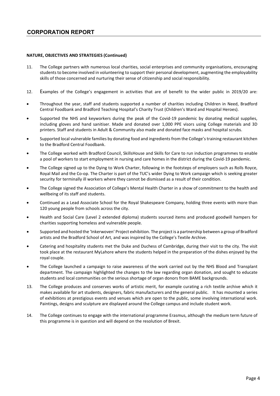- 11. The College partners with numerous local charities, social enterprises and community organisations, encouraging students to become involved in volunteering to support their personal development, augmenting the employability skills of those concerned and nurturing their sense of citizenship and social responsibility.
- 12. Examples of the College's engagement in activities that are of benefit to the wider public in 2019/20 are:
- Throughout the year, staff and students supported a number of charities including Children in Need, Bradford Central Foodbank and Bradford Teaching Hospital's Charity Trust (Children's Ward and Hospital Heroes).
- Supported the NHS and keyworkers during the peak of the Covid-19 pandemic by donating medical supplies, including gloves and hand sanitiser. Made and donated over 1,000 PPE visors using College materials and 3D printers. Staff and students in Adult & Community also made and donated face masks and hospital scrubs.
- Supported local vulnerable families by donating food and ingredients from the College's training restaurant kitchen to the Bradford Central Foodbank.
- The College worked with Bradford Council, SkillsHouse and Skills for Care to run induction programmes to enable a pool of workers to start employment in nursing and care homes in the district during the Covid-19 pandemic.
- The College signed up to the Dying to Work Charter, following in the footsteps of employers such as Rolls Royce, Royal Mail and the Co-op. The Charter is part of the TUC's wider Dying to Work campaign which is seeking greater security for terminally ill workers where they cannot be dismissed as a result of their condition.
- The College signed the Association of College's Mental Health Charter in a show of commitment to the health and wellbeing of its staff and students.
- Continued as a Lead Associate School for the Royal Shakespeare Company, holding three events with more than 120 young people from schools across the city.
- Health and Social Care (Level 2 extended diploma) students sourced items and produced goodwill hampers for charities supporting homeless and vulnerable people.
- Supported and hosted the 'Inkerwoven' Project exhibition. The project is a partnership between a group of Bradford artists and the Bradford School of Art, and was inspired by the College's Textile Archive.
- Catering and hospitality students met the Duke and Duchess of Cambridge, during their visit to the city. The visit took place at the restaurant MyLahore where the students helped in the preparation of the dishes enjoyed by the royal couple.
- The College launched a campaign to raise awareness of the work carried out by the NHS Blood and Transplant department. The campaign highlighted the changes to the law regarding organ donation, and sought to educate students and local communities on the serious shortage of organ donors from BAME backgrounds.
- 13. The College produces and conserves works of artistic merit, for example curating a rich textile archive which it makes available for art students, designers, fabric manufacturers and the general public. It has mounted a series of exhibitions at prestigious events and venues which are open to the public, some involving international work. Paintings, designs and sculpture are displayed around the College campus and include student work.
- 14. The College continues to engage with the international programme Erasmus, although the medium term future of this programme is in question and will depend on the resolution of Brexit.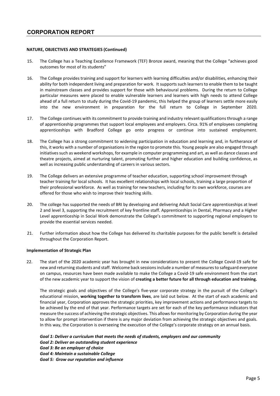- 15. The College has a Teaching Excellence Framework (TEF) Bronze award, meaning that the College "achieves good outcomes for most of its students"
- 16. The College provides training and support for learners with learning difficulties and/or disabilities, enhancing their ability for both independent living and preparation for work. It supports such learners to enable them to be taught in mainstream classes and provides support for those with behavioural problems. During the return to College particular measures were placed to enable vulnerable learners and learners with high needs to attend College ahead of a full return to study during the Covid-19 pandemic, this helped the group of learners settle more easily into the new environment in preparation for the full return to College in September 2020.
- 17. The College continues with its commitment to provide training and industry relevant qualifications through a range of apprenticeship programmes that support local employees and employers. Circa. 91% of employees completing apprenticeships with Bradford College go onto progress or continue into sustained employment.
- 18. The College has a strong commitment to widening participation in education and learning and, in furtherance of this, it works with a number of organisations in the region to promote this. Young people are also engaged through initiatives such as weekend workshops, for example in computer programming and art, as well as dance classes and theatre projects, aimed at nurturing talent, promoting further and higher education and building confidence, as well as increasing public understanding of careers in various sectors.
- 19. The College delivers an extensive programme of teacher education, supporting school improvement through teacher training for local schools. It has excellent relationships with local schools, training a large proportion of their professional workforce. As well as training for new teachers, including for its own workforce, courses are offered for those who wish to improve their teaching skills.
- 20. The college has supported the needs of BRI by developing and delivering Adult Social Care apprenticeships at level 2 and level 3, supporting the recruitment of key frontline staff. Apprenticeships in Dental, Pharmacy and a Higher Level apprenticeship in Social Work demonstrate the College's commitment to supporting regional employers to provide the essential services needed.
- 21. Further information about how the College has delivered its charitable purposes for the public benefit is detailed throughout the Corporation Report.

#### **Implementation of Strategic Plan**

22. The start of the 2020 academic year has brought in new considerations to present the College Covid-19 safe for new and returning students and staff. Welcome back sessions include a number of measures to safeguard everyone on campus, resources have been made available to make the College a Covid-19 safe environment from the start of the new academic year to support the vision of **creating a better future for all through education and training.**

The strategic goals and objectives of the College's five-year corporate strategy in the pursuit of the College's educational mission, **working together to transform lives**, are laid out below. At the start of each academic and financial year, Corporation approves the strategic priorities, key improvement actions and performance targets to be achieved by the end of that year. Performance targets are set for each of the key performance indicators that measure the success of achieving the strategic objectives. This allows for monitoring by Corporation during the year to allow for prompt intervention if there is any major deviation from achieving the strategic objectives and goals. In this way, the Corporation is overseeing the execution of the College's corporate strategy on an annual basis.

*Goal 1: Deliver a curriculum that meets the needs of students, employers and our community Goal 2: Deliver an outstanding student experience Goal 3: Be an employer of choice Goal 4: Maintain a sustainable College Goal 5: Grow our reputation and influence*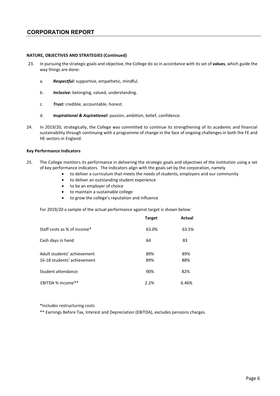- 23. In pursuing the strategic goals and objective, the College do so in accordance with its set of **values**, which guide the way things are done:
	- a. *Respectful:* supportive, empathetic, mindful.
	- b. *Inclusive:* belonging, valued, understanding.
	- c. *Trust:* credible, accountable, honest.
	- d. *Inspirational & Aspirational:* passion, ambition, belief, confidence.
- 24. In 2019/20, strategically, the College was committed to continue its strengthening of its academic and financial sustainability through continuing with a programme of change in the face of ongoing challenges in both the FE and HE sectors in England.

#### **Key Performance Indicators**

- 25. The College monitors its performance in delivering the strategic goals and objectives of the institution using a set of key performance indicators. The indicators align with the goals set by the corporation, namely
	- to deliver a curriculum that meets the needs of students, employers and our community
	- to deliver an outstanding student experience
	- to be an employer of choice
	- to maintain a sustainable college
	- to grow the college's reputation and influence

For 2019/20 a sample of the actual performance against target is shown below:

|                                                            | <b>Target</b> | Actual     |
|------------------------------------------------------------|---------------|------------|
| Staff costs as % of income*                                | 63.0%         | 63.5%      |
| Cash days in hand                                          | 64            | 83         |
| Adult students' achievement<br>16-18 students' achievement | 89%<br>89%    | 89%<br>88% |
| Student attendance                                         | 90%           | 82%        |
| EBITDA % Income**                                          | 2.2%          | 6.46%      |

\*Includes restructuring costs

\*\* Earnings Before Tax, Interest and Depreciation (EBITDA), excludes pensions charges.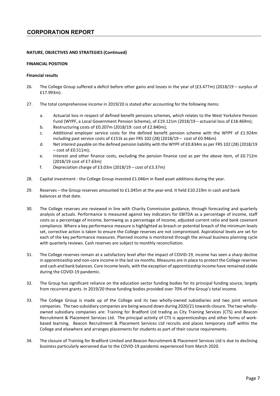#### **FINANCIAL POSITION**

#### **Financial results**

- 26. The College Group suffered a deficit before other gains and losses in the year of (£3.477m) (2018/19 surplus of £17.993m).
- 27. The total comprehensive income in 2019/20 is stated after accounting for the following items:
	- a. Actuarial loss in respect of defined benefit pensions schemes, which relates to the West Yorkshire Pension Fund (WYPF, a Local Government Pension Scheme), of £19.121m (2018/19 – actuarial loss of £18.469m);
	- b. Restructuring costs of £0.207m (2018/19: cost of £2.840m);
	- c. Additional employer service costs for the defined benefit pension scheme with the WYPF of £1.924m including past service costs of £151k as per FRS 102 (28) (2018/19 - cost of £0.946m)
	- d. Net interest payable on the defined pension liability with the WYPF of £0.834m as per FRS 102 (28) (2018/19 – cost of £0.511m);
	- e. Interest and other finance costs, excluding the pension finance cost as per the above item, of £0.712m (2018/19 cost of £7.63m)
	- f. Depreciation charge of £3.03m (2018/19 cost of £3.37m)
- 28. Capital investment the College Group invested £1.046m in fixed asset additions during the year.
- 29. Reserves the Group reserves amounted to £1.045m at the year-end. It held £10.219m in cash and bank balances at that date.
- 30. The College reserves are reviewed in line with Charity Commission guidance, through forecasting and quarterly analysis of actuals. Performance is measured against key indicators for EBITDA as a percentage of income, staff costs as a percentage of income, borrowing as a percentage of income, adjusted current ratio and bank covenant compliance. Where a key performance measure is highlighted as breach or potential breach of the minimum levels set, corrective action is taken to ensure the College reserves are not compromised. Aspirational levels are set for each of the key performance measures. Planned income is monitored through the annual business planning cycle with quarterly reviews. Cash reserves are subject to monthly reconciliation.
- 31. The College reserves remain at a satisfactory level after the impact of COVID-19, income has seen a sharp decline in apprenticeship and non-core income in the last six months. Measures are in place to protect the College reserves and cash and bank balances. Core income levels, with the exception of apprenticeship income have remained stable during the COVID-19 pandemic.
- 32. The Group has significant reliance on the education sector funding bodies for its principal funding source, largely from recurrent grants. In 2019/20 these funding bodies provided over 70% of the Group's total income.
- 33. The College Group is made up of the College and its two wholly-owned subsidiaries and two joint venture companies. The two subsidiary companies are being wound down during 2020/21 towards closure. The two whollyowned subsidiary companies are: Training for Bradford Ltd trading as City Training Services (CTS) and Beacon Recruitment & Placement Services Ltd. The principal activity of CTS is apprenticeships and other forms of workbased learning. Beacon Recruitment & Placement Services Ltd recruits and places temporary staff within the College and elsewhere and arranges placements for students as part of their course requirements.
- 34. The closure of Training for Bradford Limited and Beacon Recruitment & Placement Services Ltd is due to declining business particularly worsened due to the COVID-19 pandemic experienced from March 2020.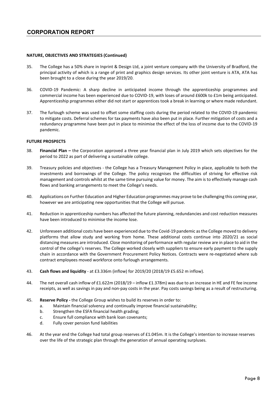- 35. The College has a 50% share in Inprint & Design Ltd, a joint venture company with the University of Bradford, the principal activity of which is a range of print and graphics design services. Its other joint venture is ATA, ATA has been brought to a close during the year 2019/20.
- 36. COVID-19 Pandemic: A sharp decline in anticipated income through the apprenticeship programmes and commercial income has been experienced due to COVID-19, with loses of around £600k to £1m being anticipated. Apprenticeship programmes either did not start or apprentices took a break in learning or where made redundant.
- 37. The furlough scheme was used to offset some staffing costs during the period related to the COVID-19 pandemic to mitigate costs. Deferral schemes for tax payments have also been put in place. Further mitigation of costs and a redundancy programme have been put in place to minimise the effect of the loss of income due to the COVID-19 pandemic.

#### **FUTURE PROSPECTS**

- 38. **Financial Plan –** the Corporation approved a three year financial plan in July 2019 which sets objectives for the period to 2022 as part of delivering a sustainable college.
- 39. Treasury policies and objectives the College has a Treasury Management Policy in place, applicable to both the investments and borrowings of the College. The policy recognises the difficulties of striving for effective risk management and controls whilst at the same time pursuing value for money. The aim is to effectively manage cash flows and banking arrangements to meet the College's needs.
- 40. Applications on Further Education and Higher Education programmes may prove to be challenging this coming year, however we are anticipating new opportunities that the College will pursue.
- 41. Reduction in apprenticeship numbers has affected the future planning, redundancies and cost reduction measures have been introduced to minimise the income lose.
- 42. Unforeseen additional costs have been experienced due to the Covid-19 pandemic as the College moved to delivery platforms that allow study and working from home. These additional costs continue into 2020/21 as social distancing measures are introduced. Close monitoring of performance with regular review are in place to aid in the control of the college's reserves. The College worked closely with suppliers to ensure early payment to the supply chain in accordance with the Government Procurement Policy Notices. Contracts were re-negotiated where sub contract employees moved workforce onto furlough arrangements.
- 43. **Cash flows and liquidity** at £3.336m (inflow) for 2019/20 (2018/19 £5.652 m inflow).
- 44. The net overall cash inflow of £1.622m (2018/19 inflow £1.378m) was due to an increase in HE and FE fee income receipts, as well as savings in pay and non-pay costs in the year. Pay costs savings being as a result of restructuring.
- 45. **Reserve Policy -** the College Group wishes to build its reserves in order to:
	- a. Maintain financial solvency and continually improve financial sustainability;
	- b. Strengthen the ESFA financial health grading;
	- c. Ensure full compliance with bank loan covenants;
	- d. Fully cover pension fund liabilities
- 46. At the year end the College had total group reserves of £1.045m. It is the College's intention to increase reserves over the life of the strategic plan through the generation of annual operating surpluses.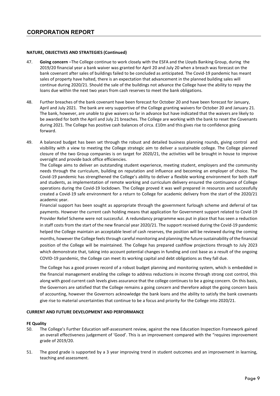- 47. **Going concern** –The College continue to work closely with the ESFA and the Lloyds Banking Group, during the 2019/20 financial year a bank waiver was granted for April 20 and July 20 when a breach was forecast on the bank covenant after sales of buildings failed to be concluded as anticipated. The Covid-19 pandemic has meant sales of property have halted, there is an expectation that advancement in the planned building sales will continue during 2020/21. Should the sale of the buildings not advance the College have the ability to repay the loans due within the next two years from cash reserves to meet the bank obligations.
- 48. Further breaches of the bank covenant have been forecast for October 20 and have been forecast for January, April and July 2021. The bank are very supportive of the College granting waivers for October 20 and January 21. The bank, however, are unable to give waivers so far in advance but have indicated that the waivers are likely to be awarded for both the April and July 21 breaches. The College are working with the bank to reset the Covenants during 2021. The College has positive cash balances of circa. £10m and this gives rise to confidence going forward.
- 49. A balanced budget has been set through the robust and detailed business planning rounds, giving control and visibility with a view to meeting the College strategic aim to deliver a sustainable college. The College planned closure of the two Group companies is on target for 2020/21, the activities will be brought in house to improve oversight and provide back office efficiencies.

The College aims to deliver an outstanding student experience, meeting student, employers and the community needs through the curriculum, building on reputation and influence and becoming an employer of choice. The Covid-19 pandemic has strengthened the College's ability to deliver a flexible working environment for both staff and students, as implementation of remote working and curriculum delivery ensured the continuance of College operations during the Covid-19 lockdown. The College proved it was well prepared in resources and successfully created a Covid-19 safe environment for a return to College for academic delivery from the start of the 2020/21 academic year.

Financial support has been sought as appropriate through the government furlough scheme and deferral of tax payments. However the current cash holding means that application for Government support related to Covid-19 Provider Relief Scheme were not successful. A redundancy programme was put in place that has seen a reduction in staff costs from the start of the new financial year 2020/21. The support received during the Covid-19 pandemic helped the College maintain an acceptable level of cash reserves, the position will be reviewed during the coming months, however the College feels through careful monitoring and planning the future sustainability of the financial position of the College will be maintained. The College has prepared cashflow projections through to July 2023 which demonstrate that, taking into account potential changes in funding and cost base as a result of the ongoing COVID-19 pandemic, the College can meet its working capital and debt obligations as they fall due.

The College has a good proven record of a robust budget planning and monitoring system, which is embedded in the financial management enabling the college to address reductions in income through strong cost control, this along with good current cash levels gives assurance that the college continues to be a going concern. On this basis, the Governors are satisfied that the College remains a going concern and therefore adopt the going concern basis of accounting, however the Governors acknowledge the bank loans and the ability to satisfy the bank covenants give rise to material uncertainties that continue to be a focus and priority for the College into 2020/21.

#### **CURRENT AND FUTURE DEVELOPMENT AND PERFORMANCE**

#### **FE Quality**

- 50. The College's Further Education self-assessment review, against the new Education Inspection Framework gained an overall effectiveness judgement of 'Good'. This is an improvement compared with the "requires improvement grade of 2019/20.
- 51. The good grade is supported by a 3 year improving trend in student outcomes and an improvement in learning, teaching and assessment.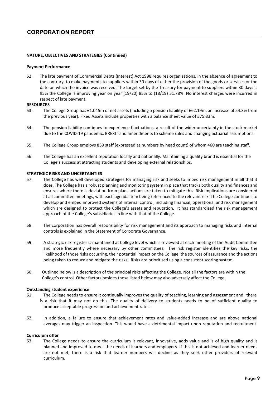#### **Payment Performance**

52. The late payment of Commercial Debts (Interest) Act 1998 requires organisations, in the absence of agreement to the contrary, to make payments to suppliers within 30 days of either the provision of the goods or services or the date on which the invoice was received. The target set by the Treasury for payment to suppliers within 30 days is 95% the College is improving year on year (19/20) 85% to (18/19) 51.78%. No interest charges were incurred in respect of late payment.

#### **RESOURCES**

- 53. The College Group has £1.045m of net assets (including a pension liability of £62.19m, an increase of 54.3% from the previous year). Fixed Assets include properties with a balance sheet value of £75.83m.
- 54. The pension liability continues to experience fluctuations, a result of the wider uncertainty in the stock market due to the COVID-19 pandemic, BREXIT and amendments to scheme rules and changing actuarial assumptions.
- 55. The College Group employs 859 staff (expressed as numbers by head count) of whom 460 are teaching staff.
- 56. The College has an excellent reputation locally and nationally. Maintaining a quality brand is essential for the College's success at attracting students and developing external relationships.

#### **STRATEGIC RISKS AND UNCERTAINTIES**

- 57. The College has well developed strategies for managing risk and seeks to imbed risk management in all that it does. The College has a robust planning and monitoring system in place that tracks both quality and finances and ensures where there is deviation from plans actions are taken to mitigate this. Risk implications are considered at all committee meetings, with each agenda item being referenced to the relevant risk. The College continues to develop and embed improved systems of internal control, including financial, operational and risk management which are designed to protect the College's assets and reputation. It has standardised the risk management approach of the College's subsidiaries in line with that of the College.
- 58. The corporation has overall responsibility for risk management and its approach to managing risks and internal controls is explained in the Statement of Corporate Governance.
- 59. A strategic risk register is maintained at College level which is reviewed at each meeting of the Audit Committee and more frequently where necessary by other committees. The risk register identifies the key risks, the likelihood of those risks occurring, their potential impact on the College, the sources of assurance and the actions being taken to reduce and mitigate the risks. Risks are prioritised using a consistent scoring system.
- 60. Outlined below is a description of the principal risks affecting the College. Not all the factors are within the College's control. Other factors besides those listed below may also adversely affect the College.

#### **Outstanding student experience**

- 61. The College needs to ensure it continually improves the quality of teaching, learning and assessment and there is a risk that it may not do this. The quality of delivery to students needs to be of sufficient quality to produce acceptable progression and achievement rates.
- 62. In addition, a failure to ensure that achievement rates and value-added increase and are above national averages may trigger an inspection. This would have a detrimental impact upon reputation and recruitment.

#### **Curriculum offer**

63. The College needs to ensure the curriculum is relevant, innovative, adds value and is of high quality and is planned and improved to meet the needs of learners and employers. If this is not achieved and learner needs are not met, there is a risk that learner numbers will decline as they seek other providers of relevant curriculum.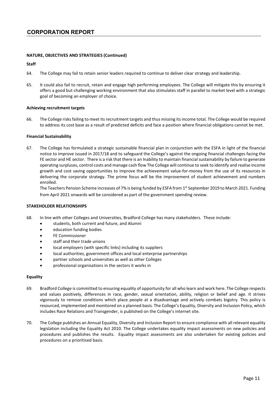**Staff**

- 64. The College may fail to retain senior leaders required to continue to deliver clear strategy and leadership.
- 65. It could also fail to recruit, retain and engage high performing employees. The College will mitigate this by ensuring it offers a good but challenging working environment that also stimulates staff in parallel to market level with a strategic goal of becoming an employer of choice.

#### **Achieving recruitment targets**

66. The College risks failing to meet its recruitment targets and thus missing its income total. The College would be required to address its cost base as a result of predicted deficits and face a position where financial obligations cannot be met.

#### **Financial Sustainability**

67. The College has formulated a strategic sustainable financial plan in conjunction with the ESFA in light of the financial notice to improve issued in 2017/18 and to safeguard the College's against the ongoing financial challenges facing the FE sector and HE sector. There is a risk that there is an Inability to maintain financial sustainability by failure to generate operating surpluses, control costs and manage cash flow The College will continue to seek to identify and realise income growth and cost saving opportunities to improve the achievement value-for-money from the use of its resources in delivering the corporate strategy. The prime focus will be the improvement of student achievement and numbers enrolled.

The Teachers Pension Scheme increases of 7% is being funded by ESFA from 1st September 2019 to March 2021. Funding from April 2021 onwards will be considered as part of the government spending review.

#### **STAKEHOLDER RELATIONSHIPS**

- 68. In line with other Colleges and Universities, Bradford College has many stakeholders. These include:
	- students, both current and future, and Alumni
	- education funding bodies
	- FE Commissioner
	- staff and their trade unions
	- local employers (with specific links) including its suppliers
	- local authorities, government offices and local enterprise partnerships
	- partner schools and universities as well as other Colleges
	- professional organisations in the sectors it works in

#### **Equality**

- 69. Bradford College is committed to ensuring equality of opportunity for all who learn and work here. The College respects and values positively, differences in race, gender, sexual orientation, ability, religion or belief and age. It strives vigorously to remove conditions which place people at a disadvantage and actively combats bigotry. This policy is resourced, implemented and monitored on a planned basis. The College's Equality, Diversity and Inclusion Policy, which includes Race Relations and Transgender, is published on the College's internet site.
- 70. The College publishes an Annual Equality, Diversity and Inclusion Report to ensure compliance with all relevant equality legislation including the Equality Act 2010. The College undertakes equality impact assessments on new policies and procedures and publishes the results. Equality impact assessments are also undertaken for existing policies and procedures on a prioritised basis.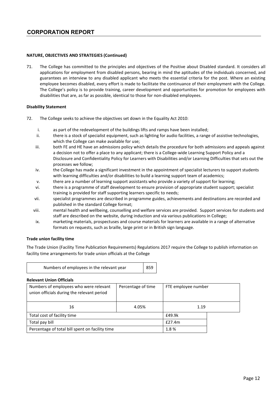71. The College has committed to the principles and objectives of the Positive about Disabled standard. It considers all applications for employment from disabled persons, bearing in mind the aptitudes of the individuals concerned, and guarantees an interview to any disabled applicant who meets the essential criteria for the post. Where an existing employee becomes disabled, every effort is made to facilitate the continuance of their employment with the College. The College's policy is to provide training, career development and opportunities for promotion for employees with disabilities that are, as far as possible, identical to those for non-disabled employees.

#### **Disability Statement**

- 72. The College seeks to achieve the objectives set down in the Equality Act 2010:
	- i. as part of the redevelopment of the buildings lifts and ramps have been installed;
	- ii. there is a stock of specialist equipment, such as lighting for audio facilities, a range of assistive technologies, which the College can make available for use;
	- iii. both FE and HE have an admissions policy which details the procedure for both admissions and appeals against a decision not to offer a place to any applicant; there is a College-wide Learning Support Policy and a Disclosure and Confidentiality Policy for Learners with Disabilities and/or Learning Difficulties that sets out the processes we follow;
	- iv. the College has made a significant investment in the appointment of specialist lecturers to support students with learning difficulties and/or disabilities to build a learning support team of academics;
	- v. there are a number of learning support assistants who provide a variety of support for learning;
	- vi. there is a programme of staff development to ensure provision of appropriate student support; specialist training is provided for staff supporting learners specific to needs;
	- vii. specialist programmes are described in programme guides, achievements and destinations are recorded and published in the standard College format;
	- viii. mental health and wellbeing, counselling and welfare services are provided. Support services for students and staff are described on the website, during induction and via various publications in College;
	- ix. marketing materials, prospectuses and course materials for learners are available in a range of alternative formats on requests, such as braille, large print or in British sign language.

#### **Trade union facility time**

The Trade Union (Facility Time Publication Requirements) Regulations 2017 require the College to publish information on facility time arrangements for trade union officials at the College

Numbers of employees in the relevant year | 859

#### **Relevant Union Officials**

| Numbers of employees who were relevant<br>union officials during the relevant period | Percentage of time | FTE employee number |  |
|--------------------------------------------------------------------------------------|--------------------|---------------------|--|
| 16                                                                                   | 4.05%              | 1.19                |  |
| Total cost of facility time                                                          |                    | £49.9k              |  |
| Total pay bill                                                                       | £27.4m             |                     |  |
| Percentage of total bill spent on facility time                                      |                    | 1.8%                |  |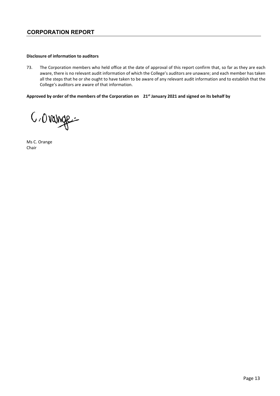#### **Disclosure of information to auditors**

73. The Corporation members who held office at the date of approval of this report confirm that, so far as they are each aware, there is no relevant audit information of which the College's auditors are unaware; and each member has taken all the steps that he or she ought to have taken to be aware of any relevant audit information and to establish that the College's auditors are aware of that information.

**Approved by order of the members of the Corporation on 21st January 2021 and signed on its behalf by**

G. Ovange

Ms C. Orange Chair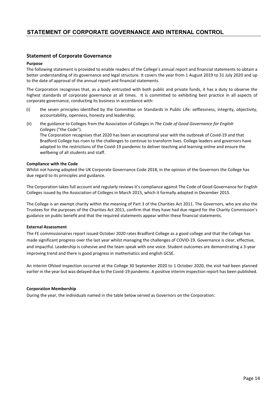#### **Statement of Corporate Governance**

#### **Purpose**

The following statement is provided to enable readers of the College's annual report and financial statements to obtain a better understanding of its governance and legal structure. It covers the year from 1 August 2019 to 31 July 2020 and up to the date of approval of the annual report and financial statements.

The Corporation recognises that, as a body entrusted with both public and private funds, it has a duty to observe the highest standards of corporate governance at all times. It is committed to exhibiting best practice in all aspects of corporate governance, conducting its business in accordance with:

- (i) the seven principles identified by the Committee on Standards in Public Life: selflessness, integrity, objectivity, accountability, openness, honesty and leadership;
- (ii) the guidance to Colleges from the Association of Colleges in *The Code of Good Governance for English Colleges* ("the Code").

The Corporation recognises that 2020 has been an exceptional year with the outbreak of Covid-19 and that Bradford College has risen to the challenges to continue to transform lives. College leaders and governors have adapted to the restrictions of the Covid-19 pandemic to deliver teaching and learning online and ensure the wellbeing of all students and staff.

#### **Compliance with the Code**

Whilst not having adopted the UK Corporate Governance Code 2018, in the opinion of the Governors the College has due regard to its principles and guidance.

The Corporation takes full account and regularly reviews it's compliance against The Code of Good Governance for English Colleges issued by the Association of Colleges in March 2015, which it formally adopted in December 2015.

The College is an exempt charity within the meaning of Part 3 of the Charities Act 2011. The Governors, who are also the Trustees for the purposes of the Charities Act 2011, confirm that they have had due regard for the Charity Commission's guidance on public benefit and that the required statements appear within these financial statements.

#### **External Assessment**

The FE commissionaires report issued October 2020 rates Bradford College as a good college and that the College has made significant progress over the last year whilst managing the challenges of COVID-19. Governance is clear, effective, and impactful. Leadership is cohesive and the team speak with one voice. Student outcomes are demonstrating a 3-year improving trend and there is good progress in mathematics and english GCSE.

An interim Ofsted inspection occurred at the College 30 September 2020 to 1 October 2020, the visit had been planned earlier in the year but was delayed due to the Covid-19 pandemic. A positive interim inspection report has been published.

#### **Corporation Membership**

During the year, the individuals named in the table below served as Governors on the Corporation: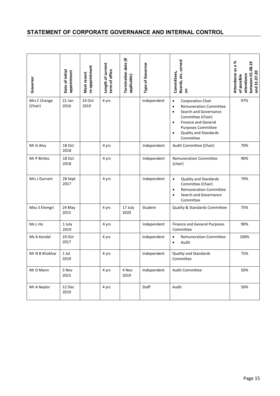| Governor                | Date of initial<br>appointment | re-appointment<br>Most recent | Length of current<br>term of office | Termination date (if<br>applicable) | Type of Governor | Boards, etc. served<br>Committees,<br>$\epsilon$                                                                                                                                                                                                                          | $\%$<br>between 01.08.19<br>$\boldsymbol{\varpi}$<br>Attendance as<br>and 31.07.20<br>attendance<br>of possible |
|-------------------------|--------------------------------|-------------------------------|-------------------------------------|-------------------------------------|------------------|---------------------------------------------------------------------------------------------------------------------------------------------------------------------------------------------------------------------------------------------------------------------------|-----------------------------------------------------------------------------------------------------------------|
| Mrs C Orange<br>(Chair) | 21 Jan<br>2016                 | 24 Oct<br>2019                | 4 yrs                               |                                     | Independent      | $\bullet$<br><b>Corporation Chair</b><br><b>Remuneration Committee</b><br>$\bullet$<br>Search and Governance<br>$\bullet$<br>Committee (Chair)<br><b>Finance and General</b><br>$\bullet$<br><b>Purposes Committee</b><br>Quality and Standards<br>$\bullet$<br>Committee | 97%                                                                                                             |
| Mr G Alvy               | 18 Oct<br>2018                 |                               | 4 yrs                               |                                     | Independent      | Audit Committee (Chair)                                                                                                                                                                                                                                                   | 70%                                                                                                             |
| Mr P Birtles            | 18 Oct<br>2018                 |                               | 4 yrs                               |                                     | Independent      | <b>Remuneration Committee</b><br>(chair)                                                                                                                                                                                                                                  | 90%                                                                                                             |
| Mrs J Durrant           | 28 Sept<br>2017                |                               | 4 yrs                               |                                     | Independent      | $\bullet$<br><b>Quality and Standards</b><br>Committee (Chair)<br><b>Remuneration Committee</b><br>$\bullet$<br>Search and Governance<br>$\bullet$<br>Committee                                                                                                           | 79%                                                                                                             |
| Miss S Elemgri          | 24 May<br>2015                 |                               | 4 yrs                               | 17 July<br>2020                     | Student          | <b>Quality &amp; Standards Committee</b>                                                                                                                                                                                                                                  | 75%                                                                                                             |
| Ms L Ho                 | 1 July<br>2019                 |                               | 4 yrs                               |                                     | Independent      | Finance and General Purposes<br>Committee                                                                                                                                                                                                                                 | 90%                                                                                                             |
| Ms A Kendal             | 19 Oct<br>2017                 |                               | 4 yrs                               |                                     | Independent      | <b>Remuneration Committee</b><br>$\bullet$<br>Audit<br>$\bullet$                                                                                                                                                                                                          | 100%                                                                                                            |
| Mr N B Khokhar          | 1 Jul<br>2019                  |                               | 4 yrs                               |                                     | Independent      | <b>Quality and Standards</b><br>Committee                                                                                                                                                                                                                                 | 75%                                                                                                             |
| Mr D Mann               | 5 Nov<br>2015                  |                               | 4 yrs                               | 4 Nov<br>2019                       | Independent      | <b>Audit Committee</b>                                                                                                                                                                                                                                                    | 50%                                                                                                             |
| Mr A Naylor             | 12 Dec<br>2019                 |                               | 4 yrs                               |                                     | <b>Staff</b>     | Audit                                                                                                                                                                                                                                                                     | 50%                                                                                                             |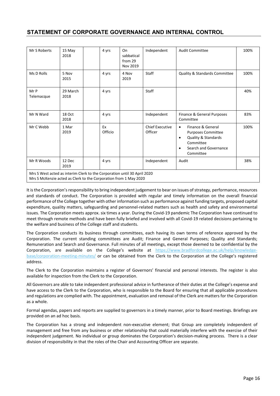| Mr S Roberts                                                                                                                                 | 15 May<br>2018   | 4 yrs         | On<br>sabbatical<br>from 29<br>Nov 2019 | Independent                       | <b>Audit Committee</b>                                                                                                                                             | 100% |
|----------------------------------------------------------------------------------------------------------------------------------------------|------------------|---------------|-----------------------------------------|-----------------------------------|--------------------------------------------------------------------------------------------------------------------------------------------------------------------|------|
| Ms D Rolls                                                                                                                                   | 5 Nov<br>2015    | 4 yrs         | 4 Nov<br>2019                           | <b>Staff</b>                      | <b>Quality &amp; Standards Committee</b>                                                                                                                           | 100% |
| Mr P<br>Telemacque                                                                                                                           | 29 March<br>2018 | 4 yrs         |                                         | Staff                             |                                                                                                                                                                    | 40%  |
| Mr N Ward                                                                                                                                    | 18 Oct<br>2018   | 4 yrs         |                                         | Independent                       | Finance & General Purposes<br>Committee                                                                                                                            | 83%  |
| Mr C Webb                                                                                                                                    | 1 Mar<br>2019    | Ex<br>Officio |                                         | <b>Chief Executive</b><br>Officer | Finance & General<br>$\bullet$<br><b>Purposes Committee</b><br><b>Quality &amp; Standards</b><br>$\bullet$<br>Committee<br>Search and Governance<br>٠<br>Committee | 100% |
| Mr R Woods                                                                                                                                   | 12 Dec<br>2019   | 4 yrs         |                                         | Independent                       | Audit                                                                                                                                                              | 38%  |
| Mrs S West acted as interim Clerk to the Corporation until 30 April 2020<br>Mrs S McKenzie acted as Clerk to the Corporation from 1 May 2020 |                  |               |                                         |                                   |                                                                                                                                                                    |      |

It is the Corporation's responsibility to bring independent judgement to bear on issues of strategy, performance, resources and standards of conduct. The Corporation is provided with regular and timely information on the overall financial performance of the College together with other information such as performance against funding targets, proposed capital expenditure, quality matters, safeguarding and personnel-related matters such as health and safety and environmental issues. The Corporation meets approx. six times a year. During the Covid-19 pandemic The Corporation have continued to meet through remote methods and have been fully briefed and involved with all Covid-19 related decisions pertaining to the welfare and business of the College staff and students.

The Corporation conducts its business through committees, each having its own terms of reference approved by the Corporation. The current standing committees are Audit; Finance and General Purposes; Quality and Standards; Remuneration and Search and Governance. Full minutes of all meetings, except those deemed to be confidential by the Corporation, are available on the College's website at [https://www.bradfordcollege.ac.uk/help/knowledge](https://www.bradfordcollege.ac.uk/help/knowledge-base/corporation-meeting-minutes/)[base/corporation-meeting-minutes/](https://www.bradfordcollege.ac.uk/help/knowledge-base/corporation-meeting-minutes/) or can be obtained from the Clerk to the Corporation at the College's registered address.

The Clerk to the Corporation maintains a register of Governors' financial and personal interests. The register is also available for inspection from the Clerk to the Corporation.

All Governors are able to take independent professional advice in furtherance of their duties at the College's expense and have access to the Clerk to the Corporation, who is responsible to the Board for ensuring that all applicable procedures and regulations are complied with. The appointment, evaluation and removal of the Clerk are matters for the Corporation as a whole.

Formal agendas, papers and reports are supplied to governors in a timely manner, prior to Board meetings. Briefings are provided on an ad hoc basis.

The Corporation has a strong and independent non-executive element; that Group are completely independent of management and free from any business or other relationship that could materially interfere with the exercise of their independent judgement. No individual or group dominates the Corporation's decision-making process. There is a clear division of responsibility in that the roles of the Chair and Accounting Officer are separate.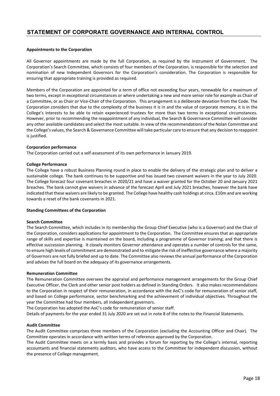#### **Appointments to the Corporation**

All Governor appointments are made by the full Corporation, as required by the Instrument of Government. The Corporation's Search Committee, which consists of four members of the Corporation, is responsible for the selection and nomination of new Independent Governors for the Corporation's consideration. The Corporation is responsible for ensuring that appropriate training is provided as required.

Members of the Corporation are appointed for a term of office not exceeding four years, renewable for a maximum of two terms, except in exceptional circumstances or where undertaking a new and more senior role for example as Chair of a Committee, or as Chair or Vice-Chair of the Corporation. This arrangement is a deliberate deviation from the Code. The Corporation considers that due to the complexity of the business it is in and the value of corporate memory, it is in the College's interests to be able to retain experienced trustees for more than two terms in exceptional circumstances. However, prior to recommending the reappointment of any individual, the Search & Governance Committee will consider any other available candidates and select the most suitable. In view of the recommendations of the Nolan Committee and the College's values, the Search & Governance Committee will take particular care to ensure that any decision to reappoint is justified.

#### **Corporation performance**

The Corporation carried out a self-assessment of its own performance in January 2019.

#### **College Performance**

The College have a robust Business Planning round in place to enable the delivery of the strategic plan and to deliver a sustainable college. The bank continues to be supportive and has issued two covenant waivers in the year to July 2020. The College forecast four covenant breaches in 2020/21 and have a waiver granted for the October 20 and January 2021 breaches. The bank cannot give waivers in advance of the forecast April and July 2021 breaches, however the bank have indicated that these waivers are likely to be granted. The College have healthy cash holdings at circa. £10m and are working towards a reset of the bank covenants in 2021.

#### **Standing Committees of the Corporation**

#### **Search Committee**

The Search Committee, which includes in its membership the Group Chief Executive (who is a Governor) and the Chair of the Corporation, considers applications for appointment to the Corporation. The Committee ensures that an appropriate range of skills and expertise is maintained on the board, including a programme of Governor training; and that there is effective succession planning. It closely monitors Governor attendance and operates a number of controls for the same, to ensure high levels of commitment are demonstrated and to mitigate the risk of ineffective governance where a majority of Governors are not fully briefed and up to date. The Committee also reviews the annual performance of the Corporation and advises the full board on the adequacy of its governance arrangements.

#### **Remuneration Committee**

The Remuneration Committee oversees the appraisal and performance management arrangements for the Group Chief Executive Officer, the Clerk and other senior post holders as defined in Standing Orders. It also makes recommendations to the Corporation in respect of their remuneration, in accordance with the AoC's code for remuneration of senior staff, and based on College performance, sector benchmarking and the achievement of individual objectives. Throughout the year the Committee had four members, all independent governors.

The Corporation has adopted the AoC's code for remuneration of senior staff.

Details of payments for the year ended 31 July 2020 are set out in note 8 of the notes to the Financial Statements.

#### **Audit Committee**

The Audit Committee comprises three members of the Corporation (excluding the Accounting Officer and Chair). The Committee operates in accordance with written terms of reference approved by the Corporation.

The Audit Committee meets on a termly basis and provides a forum for reporting by the College's internal, reporting accountants and financial statements auditors, who have access to the Committee for independent discussion, without the presence of College management.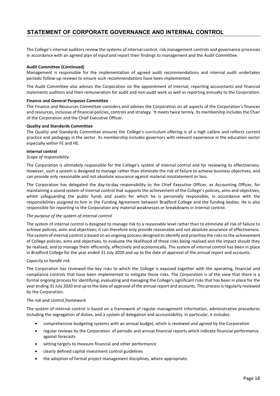The College's internal auditors review the systems of internal control, risk management controls and governance processes in accordance with an agreed plan of input and report their findings to management and the Audit Committee.

#### **Audit Committee (Continued)**

Management is responsible for the implementation of agreed audit recommendations and internal audit undertakes periodic follow-up reviews to ensure such recommendations have been implemented.

The Audit Committee also advises the Corporation on the appointment of internal, reporting accountants and financial statements auditors and their remuneration for audit and non-audit work as well as reporting annually to the Corporation.

#### **Finance and General Purposes Committee**

The Finance and Resources Committee considers and advises the Corporation on all aspects of the Corporation's finances and resources, inclusive of financial policies, controls and strategy. It meets twice termly. Its membership includes the Chair of the Corporation and the Chief Executive Officer.

#### **Quality and Standards Committee**

The Quality and Standards Committee ensures the College's curriculum offering is of a high calibre and reflects current practice and pedagogy in the sector. Its membership includes governors with relevant experience in the education sector especially within FE and HE.

#### **Internal control**

#### *Scope of responsibility*

The Corporation is ultimately responsible for the College's system of internal control and for reviewing its effectiveness. However, such a system is designed to manage rather than eliminate the risk of failure to achieve business objectives, and can provide only reasonable and not absolute assurance against material misstatement or loss.

The Corporation has delegated the day-to-day responsibility to the Chief Executive Officer, as Accounting Officer, for maintaining a sound system of internal control that supports the achievement of the College's policies, aims and objectives, whilst safeguarding the public funds and assets for which he is personally responsible, in accordance with the responsibilities assigned to him in the Funding Agreement between Bradford College and the funding bodies. He is also responsible for reporting to the Corporation any material weaknesses or breakdowns in internal control.

#### *The purpose of the system of internal control*

The system of internal control is designed to manage risk to a reasonable level rather than to eliminate all risk of failure to achieve policies, aims and objectives; it can therefore only provide reasonable and not absolute assurance of effectiveness. The system of internal control is based on an ongoing process designed to identify and prioritise the risks to the achievement of College policies, aims and objectives, to evaluate the likelihood of those risks being realised and the impact should they be realised, and to manage them efficiently, effectively and economically. The system of internal control has been in place in Bradford College for the year ended 31 July 2020 and up to the date of approval of the annual report and accounts.

#### *Capacity to handle risk*

The Corporation has reviewed the key risks to which the College is exposed together with the operating, financial and compliance controls that have been implemented to mitigate those risks. The Corporation is of the view that there is a formal ongoing process for identifying, evaluating and managing the College's significant risks that has been in place for the year ending 31 July 2020 and up to the date of approval of the annual report and accounts. This process is regularly reviewed by the Corporation.

#### *The risk and control framework*

The system of internal control is based on a framework of regular management information, administrative procedures including the segregation of duties, and a system of delegation and accountability. In particular, it includes:

- comprehensive budgeting systems with an annual budget, which is reviewed and agreed by the Corporation
- regular reviews by the Corporation of periodic and annual financial reports which indicate financial performance against forecasts
- setting targets to measure financial and other performance
- clearly defined capital investment control guidelines
- the adoption of formal project management disciplines, where appropriate.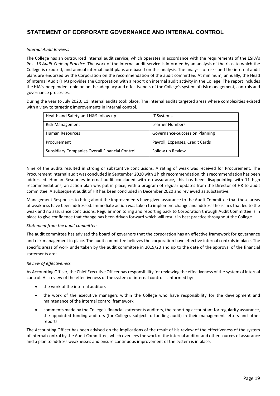#### *Internal Audit Reviews*

The College has an outsourced internal audit service, which operates in accordance with the requirements of the ESFA's Post *16 Audit Code of Practice*. The work of the internal audit service is informed by an analysis of the risks to which the College is exposed, and annual internal audit plans are based on this analysis. The analysis of risks and the internal audit plans are endorsed by the Corporation on the recommendation of the audit committee. At minimum, annually, the Head of Internal Audit (HIA) provides the Corporation with a report on internal audit activity in the College. The report includes the HIA's independent opinion on the adequacy and effectiveness of the College's system of risk management, controls and governance processes.

During the year to July 2020, 11 internal audits took place. The internal audits targeted areas where complexities existed with a view to targeting improvements in internal control.

| Health and Safety and H&S follow up                   | <b>IT Systems</b>               |
|-------------------------------------------------------|---------------------------------|
| Risk Management                                       | Learner Numbers                 |
| Human Resources                                       | Governance-Succession Planning  |
| Procurement                                           | Payroll, Expenses, Credit Cards |
| <b>Subsidiary Companies Overall Financial Control</b> | Follow up Review                |

Nine of the audits resulted in strong or substantive conclusions. A rating of weak was received for Procurement. The Procurement internal audit was concluded in September 2020 with 1 high recommendation, this recommendation has been addressed. Human Resources internal audit concluded with no assurance, this has been disappointing with 11 high recommendations, an action plan was put in place, with a program of regular updates from the Director of HR to audit committee. A subsequent audit of HR has been concluded in December 2020 and reviewed as substantive.

Management Responses to bring about the improvements have given assurance to the Audit Committee that these areas of weakness have been addressed. Immediate action was taken to implement change and address the issues that led to the weak and no assurance conclusions. Regular monitoring and reporting back to Corporation through Audit Committee is in place to give confidence that change has been driven forward which will result in best practice throughout the College.

#### *Statement from the audit committee*

The audit committee has advised the board of governors that the corporation has an effective framework for governance and risk management in place. The audit committee believes the corporation have effective internal controls in place. The specific areas of work undertaken by the audit committee in 2019/20 and up to the date of the approval of the financial statements are:

#### *Review of effectiveness*

As Accounting Officer, the Chief Executive Officer has responsibility for reviewing the effectiveness of the system of internal control. His review of the effectiveness of the system of internal control is informed by:

- the work of the internal auditors
- the work of the executive managers within the College who have responsibility for the development and maintenance of the internal control framework
- comments made by the College's financial statements auditors, the reporting accountant for regularity assurance, the appointed funding auditors (for Colleges subject to funding audit) in their management letters and other reports.

The Accounting Officer has been advised on the implications of the result of his review of the effectiveness of the system of internal control by the Audit Committee, which oversees the work of the internal auditor and other sources of assurance and a plan to address weaknesses and ensure continuous improvement of the system is in place.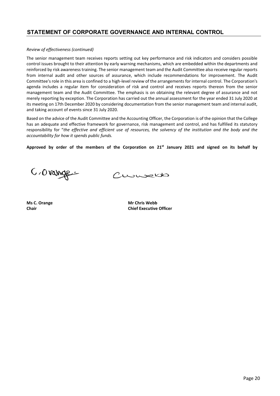#### *Review of effectiveness (continued)*

The senior management team receives reports setting out key performance and risk indicators and considers possible control issues brought to their attention by early warning mechanisms, which are embedded within the departments and reinforced by risk awareness training. The senior management team and the Audit Committee also receive regular reports from internal audit and other sources of assurance, which include recommendations for improvement. The Audit Committee's role in this area is confined to a high-level review of the arrangements for internal control. The Corporation's agenda includes a regular item for consideration of risk and control and receives reports thereon from the senior management team and the Audit Committee. The emphasis is on obtaining the relevant degree of assurance and not merely reporting by exception. The Corporation has carried out the annual assessment for the year ended 31 July 2020 at its meeting on 17th December 2020 by considering documentation from the senior management team and internal audit, and taking account of events since 31 July 2020.

Based on the advice of the Audit Committee and the Accounting Officer, the Corporation is of the opinion that the College has an adequate and effective framework for governance, risk management and control, and has fulfilled its statutory responsibility for "*the effective and efficient use of resources, the solvency of the institution and the body and the accountability for how it spends public funds.*

**Approved by order of the members of the Corporation on 21st January 2021 and signed on its behalf by**

C. Ovange:

 $C$ wuxekdo

**Ms C. Orange Mr Chris Webb Chair Chief Executive Officer**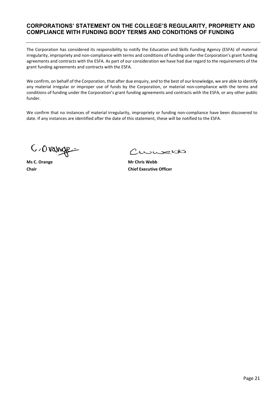### **CORPORATIONS' STATEMENT ON THE COLLEGE'S REGULARITY, PROPRIETY AND COMPLIANCE WITH FUNDING BODY TERMS AND CONDITIONS OF FUNDING**

The Corporation has considered its responsibility to notify the Education and Skills Funding Agency (ESFA) of material irregularity, impropriety and non-compliance with terms and conditions of funding under the Corporation's grant funding agreements and contracts with the ESFA. As part of our consideration we have had due regard to the requirements of the grant funding agreements and contracts with the ESFA.

We confirm, on behalf of the Corporation, that after due enquiry, and to the best of our knowledge, we are able to identify any material irregular or improper use of funds by the Corporation, or material non-compliance with the terms and conditions of funding under the Corporation's grant funding agreements and contracts with the ESFA, or any other public funder.

We confirm that no instances of material irregularity, impropriety or funding non-compliance have been discovered to date. If any instances are identified after the date of this statement, these will be notified to the ESFA.

C. Ovange

**Ms C.** Orange **Mr Chris Webb** 

 $C$ luouse $\omega$ 

**Chair Chief Executive Officer**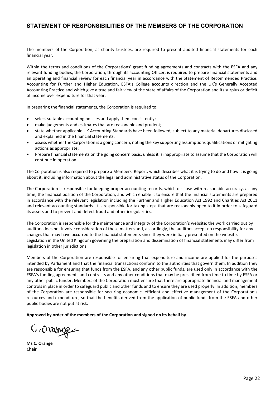The members of the Corporation, as charity trustees, are required to present audited financial statements for each financial year.

Within the terms and conditions of the Corporations' grant funding agreements and contracts with the ESFA and any relevant funding bodies, the Corporation, through its accounting Officer, is required to prepare financial statements and an operating and financial review for each financial year in accordance with the Statement of Recommended Practice: Accounting for Further and Higher Education, ESFA's College accounts direction and the UK's Generally Accepted Accounting Practice and which give a true and fair view of the state of affairs of the Corporation and its surplus or deficit of income over expenditure for that year.

In preparing the financial statements, the Corporation is required to:

- select suitable accounting policies and apply them consistently;
- make judgements and estimates that are reasonable and prudent;
- state whether applicable UK Accounting Standards have been followed, subject to any material departures disclosed and explained in the financial statements;
- assess whether the Corporation is a going concern, noting the key supporting assumptions qualifications or mitigating actions as appropriate;
- Prepare financial statements on the going concern basis, unless it is inappropriate to assume that the Corporation will continue in operation.

The Corporation is also required to prepare a Members' Report, which describes what it is trying to do and how it is going about it, including information about the legal and administrative status of the Corporation.

The Corporation is responsible for keeping proper accounting records, which disclose with reasonable accuracy, at any time, the financial position of the Corporation, and which enable it to ensure that the financial statements are prepared in accordance with the relevant legislation including the Further and Higher Education Act 1992 and Charities Act 2011 and relevant accounting standards. It is responsible for taking steps that are reasonably open to it in order to safeguard its assets and to prevent and detect fraud and other irregularities.

The Corporation is responsible for the maintenance and integrity of the Corporation's website; the work carried out by auditors does not involve consideration of these matters and, accordingly, the auditors accept no responsibility for any changes that may have occurred to the financial statements since they were initially presented on the website. Legislation in the United Kingdom governing the preparation and dissemination of financial statements may differ from legislation in other jurisdictions.

Members of the Corporation are responsible for ensuring that expenditure and income are applied for the purposes intended by Parliament and that the financial transactions conform to the authorities that govern them. In addition they are responsible for ensuring that funds from the ESFA, and any other public funds, are used only in accordance with the ESFA's funding agreements and contracts and any other conditions that may be prescribed from time to time by ESFA or any other public funder. Members of the Corporation must ensure that there are appropriate financial and management controls in place in order to safeguard public and other funds and to ensure they are used properly. In addition, members of the Corporation are responsible for securing economic, efficient and effective management of the Corporation's resources and expenditure, so that the benefits derived from the application of public funds from the ESFA and other public bodies are not put at risk.

**Approved by order of the members of the Corporation and signed on its behalf by**

G. Ovange

**Ms C. Orange Chair**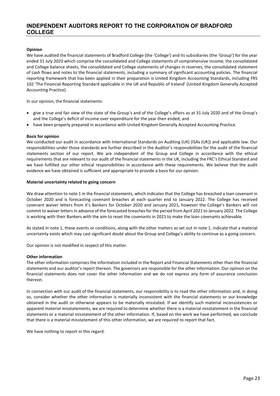### **INDEPENDENT AUDITORS REPORT TO THE CORPORATION OF BRADFORD COLLEGE**

#### **Opinion**

We have audited the financial statements of Bradford College (the 'College') and its subsidiaries (the 'Group') for the year ended 31 July 2020 which comprise the consolidated and College statements of comprehensive income, the consolidated and College balance sheets, the consolidated and College statements of changes in reserves, the consolidated statement of cash flows and notes to the financial statements, including a summary of significant accounting policies. The financial reporting framework that has been applied in their preparation is United Kingdom Accounting Standards, including FRS 102 'The Financial Reporting Standard applicable in the UK and Republic of Ireland' (United Kingdom Generally Accepted Accounting Practice).

In our opinion, the financial statements:

- give a true and fair view of the state of the Group's and of the College's affairs as at 31 July 2020 and of the Group's and the College's deficit of income over expenditure for the year then ended; and
- have been properly prepared in accordance with United Kingdom Generally Accepted Accounting Practice.

#### **Basis for opinion**

We conducted our audit in accordance with International Standards on Auditing (UK) (ISAs (UK)) and applicable law. Our responsibilities under those standards are further described in the Auditor's responsibilities for the audit of the financial statements section of our report. We are independent of the Group and College in accordance with the ethical requirements that are relevant to our audit of the financial statements in the UK, including the FRC's Ethical Standard and we have fulfilled our other ethical responsibilities in accordance with these requirements. We believe that the audit evidence we have obtained is sufficient and appropriate to provide a basis for our opinion.

#### **Material uncertainty related to going concern**

We draw attention to note 1 in the financial statements, which indicates that the College has breached a loan covenant in October 2020 and is forecasting covenant breaches at each quarter end to January 2022. The College has received covenant waiver letters from it's Bankers for October 2020 and January 2021, however the College's Bankers will not commit to waiver letters in advance of the forecasted breaches for the period from April 2021 to January 2022. The College is working with their Bankers with the aim to reset the covenants in 2021 to make the loan covenants achievable.

As stated in note 1, these events or conditions, along with the other matters as set out in note 1, indicate that a material uncertainty exists which may cast significant doubt about the Group and College's ability to continue as a going concern.

Our opinion is not modified in respect of this matter.

#### **Other information**

The other information comprises the information included in the Report and Financial Statements other than the financial statements and our auditor's report thereon. The governors are responsible for the other information. Our opinion on the financial statements does not cover the other information and we do not express any form of assurance conclusion thereon.

In connection with our audit of the financial statements, our responsibility is to read the other information and, in doing so, consider whether the other information is materially inconsistent with the financial statements or our knowledge obtained in the audit or otherwise appears to be materially misstated. If we identify such material inconsistencies or apparent material misstatements, we are required to determine whether there is a material misstatement in the financial statements or a material misstatement of the other information. If, based on the work we have performed, we conclude that there is a material misstatement of this other information, we are required to report that fact.

We have nothing to report in this regard.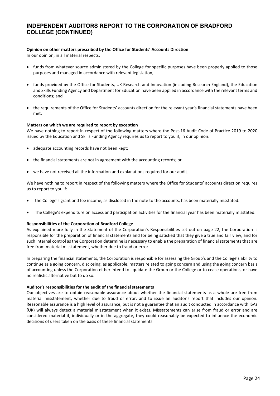#### **Opinion on other matters prescribed by the Office for Students' Accounts Direction**

In our opinion, in all material respects:

- funds from whatever source administered by the College for specific purposes have been properly applied to those purposes and managed in accordance with relevant legislation;
- funds provided by the Office for Students, UK Research and Innovation (including Research England), the Education and Skills Funding Agency and Department for Education have been applied in accordance with the relevant terms and conditions; and
- the requirements of the Office for Students' accounts direction for the relevant year's financial statements have been met.

#### **Matters on which we are required to report by exception**

We have nothing to report in respect of the following matters where the Post-16 Audit Code of Practice 2019 to 2020 issued by the Education and Skills Funding Agency requires us to report to you if, in our opinion:

- adequate accounting records have not been kept;
- the financial statements are not in agreement with the accounting records; or
- we have not received all the information and explanations required for our audit.

We have nothing to report in respect of the following matters where the Office for Students' accounts direction requires us to report to you if:

- the College's grant and fee income, as disclosed in the note to the accounts, has been materially misstated.
- The College's expenditure on access and participation activities for the financial year has been materially misstated.

#### **Responsibilities of the Corporation of Bradford College**

As explained more fully in the Statement of the Corporation's Responsibilities set out on page 22, the Corporation is responsible for the preparation of financial statements and for being satisfied that they give a true and fair view, and for such internal control as the Corporation determine is necessary to enable the preparation of financial statements that are free from material misstatement, whether due to fraud or error.

In preparing the financial statements, the Corporation is responsible for assessing the Group's and the College's ability to continue as a going concern, disclosing, as applicable, matters related to going concern and using the going concern basis of accounting unless the Corporation either intend to liquidate the Group or the College or to cease operations, or have no realistic alternative but to do so.

#### **Auditor's responsibilities for the audit of the financial statements**

Our objectives are to obtain reasonable assurance about whether the financial statements as a whole are free from material misstatement, whether due to fraud or error, and to issue an auditor's report that includes our opinion. Reasonable assurance is a high level of assurance, but is not a guarantee that an audit conducted in accordance with ISAs (UK) will always detect a material misstatement when it exists. Misstatements can arise from fraud or error and are considered material if, individually or in the aggregate, they could reasonably be expected to influence the economic decisions of users taken on the basis of these financial statements.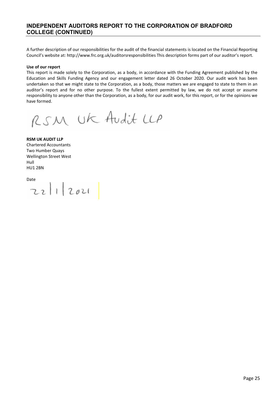### **INDEPENDENT AUDITORS REPORT TO THE CORPORATION OF BRADFORD COLLEGE (CONTINUED)**

A further description of our responsibilities for the audit of the financial statements is located on the Financial Reporting Council's website at[: http://www.frc.org.uk/auditorsresponsibilities](http://www.frc.org.uk/auditorsresponsibilities) This description forms part of our auditor's report.

#### **Use of our report**

This report is made solely to the Corporation, as a body, in accordance with the Funding Agreement published by the Education and Skills Funding Agency and our engagement letter dated 26 October 2020. Our audit work has been undertaken so that we might state to the Corporation, as a body, those matters we are engaged to state to them in an auditor's report and for no other purpose. To the fullest extent permitted by law, we do not accept or assume responsibility to anyone other than the Corporation, as a body, for our audit work, for this report, or for the opinions we have formed.

RSM UK Audit LLP

**RSM UK AUDIT LLP** Chartered Accountants Two Humber Quays Wellington Street West Hull HU1 2BN

Date<br> $22|1|2021$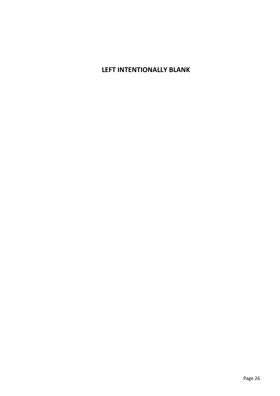## **LEFT INTENTIONALLY BLANK**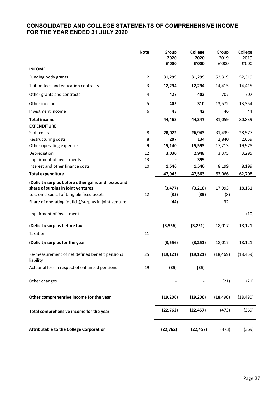### **CONSOLIDATED AND COLLEGE STATEMENTS OF COMPREHENSIVE INCOME FOR THE YEAR ENDED 31 JULY 2020**

|                                                                                           | <b>Note</b>    | Group<br>2020<br>£'000 | College<br>2020<br>£'000 | Group<br>2019<br>E'000 | College<br>2019<br>$\rm{f}'000$ |
|-------------------------------------------------------------------------------------------|----------------|------------------------|--------------------------|------------------------|---------------------------------|
| <b>INCOME</b>                                                                             |                |                        |                          |                        |                                 |
| Funding body grants                                                                       | $\overline{2}$ | 31,299                 | 31,299                   | 52,319                 | 52,319                          |
| Tuition fees and education contracts                                                      | 3              | 12,294                 | 12,294                   | 14,415                 | 14,415                          |
| Other grants and contracts                                                                | 4              | 427                    | 402                      | 707                    | 707                             |
| Other income                                                                              | 5              | 405                    | 310                      | 13,572                 | 13,354                          |
| Investment income                                                                         | 6              | 43                     | 42                       | 46                     | 44                              |
| <b>Total income</b><br><b>EXPENDITURE</b>                                                 |                | 44,468                 | 44,347                   | 81,059                 | 80,839                          |
| Staff costs                                                                               | 8              | 28,022                 | 26,943                   | 31,439                 | 28,577                          |
| Restructuring costs                                                                       | 8              | 207                    | 134                      | 2,840                  | 2,659                           |
| Other operating expenses                                                                  | 9              | 15,140                 | 15,593                   | 17,213                 | 19,978                          |
| Depreciation                                                                              | 12             | 3,030                  | 2,948                    | 3,375                  | 3,295                           |
| Impairment of investments                                                                 | 13             |                        | 399                      |                        |                                 |
| Interest and other finance costs                                                          | 10             | 1,546                  | 1,546                    | 8,199                  | 8,199                           |
| <b>Total expenditure</b>                                                                  |                | 47,945                 | 47,563                   | 63,066                 | 62,708                          |
| (Deficit)/surplus before other gains and losses and<br>share of surplus in joint ventures |                | (3, 477)               | (3,216)                  | 17,993                 | 18,131                          |
| Loss on disposal of tangible fixed assets                                                 | 12             | (35)                   | (35)                     | (8)                    |                                 |
| Share of operating (deficit)/surplus in joint venture                                     |                | (44)                   |                          | 32                     |                                 |
| Impairment of investment                                                                  |                |                        |                          |                        | (10)                            |
| (Deficit)/surplus before tax                                                              |                | (3, 556)               | (3,251)                  | 18,017                 | 18,121                          |
| Taxation                                                                                  | 11             |                        |                          |                        |                                 |
| (Deficit)/surplus for the year                                                            |                | (3, 556)               | (3,251)                  | 18,017                 | 18,121                          |
| Re-measurement of net defined benefit pensions<br>liability                               | 25             | (19, 121)              | (19, 121)                | (18, 469)              | (18, 469)                       |
| Actuarial loss in respect of enhanced pensions                                            | 19             | (85)                   | (85)                     |                        |                                 |
| Other changes                                                                             |                |                        |                          | (21)                   | (21)                            |
| Other comprehensive income for the year                                                   |                | (19, 206)              | (19, 206)                | (18, 490)              | (18, 490)                       |
| Total comprehensive income for the year                                                   |                | (22, 762)              | (22, 457)                | (473)                  | (369)                           |
| <b>Attributable to the College Corporation</b>                                            |                | (22, 762)              | (22, 457)                | (473)                  | (369)                           |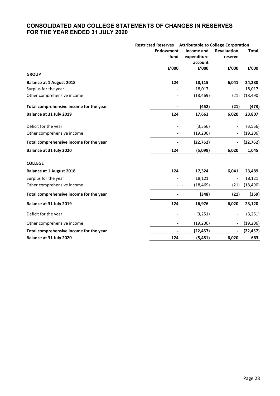### **CONSOLIDATED AND COLLEGE STATEMENTS OF CHANGES IN RESERVES FOR THE YEAR ENDED 31 JULY 2020**

|                                         | <b>Restricted Reserves</b> | <b>Attributable to College Corporation</b> |                               |              |  |
|-----------------------------------------|----------------------------|--------------------------------------------|-------------------------------|--------------|--|
|                                         | <b>Endowment</b><br>fund   | Income and<br>expenditure                  | <b>Revaluation</b><br>reserve | <b>Total</b> |  |
|                                         |                            | account                                    |                               |              |  |
|                                         | £'000                      | £'000                                      | £'000                         | £'000        |  |
| <b>GROUP</b>                            |                            |                                            |                               |              |  |
| <b>Balance at 1 August 2018</b>         | 124                        | 18,115                                     | 6,041                         | 24,280       |  |
| Surplus for the year                    |                            | 18,017                                     |                               | 18,017       |  |
| Other comprehensive income              |                            | (18, 469)                                  | (21)                          | (18, 490)    |  |
| Total comprehensive income for the year |                            | (452)<br>$\qquad \qquad \blacksquare$      | (21)                          | (473)        |  |
| Balance at 31 July 2019                 | 124                        | 17,663                                     | 6,020                         | 23,807       |  |
| Deficit for the year                    |                            | (3, 556)                                   |                               | (3, 556)     |  |
| Other comprehensive income              |                            | (19, 206)<br>$\overline{\phantom{a}}$      | $\overline{\phantom{a}}$      | (19, 206)    |  |
| Total comprehensive income for the year |                            | (22, 762)                                  | $\overline{\phantom{0}}$      | (22, 762)    |  |
| Balance at 31 July 2020                 | 124                        | (5,099)                                    | 6,020                         | 1,045        |  |
| <b>COLLEGE</b>                          |                            |                                            |                               |              |  |
| <b>Balance at 1 August 2018</b>         | 124                        | 17,324                                     | 6,041                         | 23,489       |  |
| Surplus for the year                    |                            | 18,121                                     |                               | 18,121       |  |
| Other comprehensive income              |                            | (18, 469)                                  | (21)                          | (18, 490)    |  |
| Total comprehensive income for the year |                            | (348)                                      | (21)                          | (369)        |  |
| Balance at 31 July 2019                 | 124                        | 16,976                                     | 6,020                         | 23,120       |  |
| Deficit for the year                    |                            | (3, 251)                                   |                               | (3, 251)     |  |
| Other comprehensive income              |                            | (19, 206)                                  |                               | (19, 206)    |  |
| Total comprehensive income for the year |                            | (22, 457)                                  |                               | (22, 457)    |  |
| Balance at 31 July 2020                 | 124                        | (5,481)                                    | 6,020                         | 663          |  |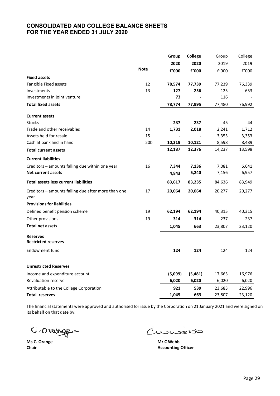### **CONSOLIDATED AND COLLEGE BALANCE SHEETS FOR THE YEAR ENDED 31 JULY 2020**

|                                                             |                 | Group   | <b>College</b> | Group  | College |
|-------------------------------------------------------------|-----------------|---------|----------------|--------|---------|
|                                                             |                 | 2020    | 2020           | 2019   | 2019    |
|                                                             | <b>Note</b>     | £'000   | £'000          | f'000  | f'000   |
| <b>Fixed assets</b>                                         |                 |         |                |        |         |
| Tangible Fixed assets                                       | 12              | 78,574  | 77,739         | 77,239 | 76,339  |
| Investments                                                 | 13              | 127     | 256            | 125    | 653     |
| Investments in joint venture                                |                 | 73      |                | 116    |         |
| <b>Total fixed assets</b>                                   |                 | 78,774  | 77,995         | 77,480 | 76,992  |
| <b>Current assets</b>                                       |                 |         |                |        |         |
| <b>Stocks</b>                                               |                 | 237     | 237            | 45     | 44      |
| Trade and other receivables                                 | 14              | 1,731   | 2,018          | 2,241  | 1,712   |
| Assets held for resale                                      | 15              |         |                | 3,353  | 3,353   |
| Cash at bank and in hand                                    | 20 <sub>b</sub> | 10,219  | 10,121         | 8,598  | 8,489   |
| <b>Total current assets</b>                                 |                 | 12,187  | 12,376         | 14,237 | 13,598  |
| <b>Current liabilities</b>                                  |                 |         |                |        |         |
| Creditors - amounts falling due within one year             | 16              | 7,344   | 7,136          | 7,081  | 6,641   |
| <b>Net current assets</b>                                   |                 | 4,843   | 5,240          | 7,156  | 6,957   |
| <b>Total assets less current liabilities</b>                |                 | 83,617  | 83,235         | 84,636 | 83,949  |
| Creditors - amounts falling due after more than one<br>year | 17              | 20,064  | 20,064         | 20,277 | 20,277  |
| <b>Provisions for liabilities</b>                           |                 |         |                |        |         |
| Defined benefit pension scheme                              | 19              | 62,194  | 62,194         | 40,315 | 40,315  |
| Other provisions                                            | 19              | 314     | 314            | 237    | 237     |
| <b>Total net assets</b>                                     |                 | 1,045   | 663            | 23,807 | 23,120  |
| <b>Reserves</b><br><b>Restricted reserves</b>               |                 |         |                |        |         |
| Endowment fund                                              |                 | 124     | 124            | 124    | 124     |
| <b>Unrestricted Reserves</b>                                |                 |         |                |        |         |
| Income and expenditure account                              |                 | (5,099) | (5, 481)       | 17,663 | 16,976  |
| <b>Revaluation reserve</b>                                  |                 | 6,020   | 6,020          | 6,020  | 6,020   |
| Attributable to the College Corporation                     |                 | 921     | 539            | 23,683 | 22,996  |
| <b>Total reserves</b>                                       |                 | 1,045   | 663            | 23,807 | 23,120  |

The financial statements were approved and authorised for issue by the Corporation on 21 January 2021 and were signed on its behalf on that date by:

C. Ovange.

Current

**Ms C. Orange Mr C Webb**<br> **Mr C Webb**<br> **Chair Accounting Officer**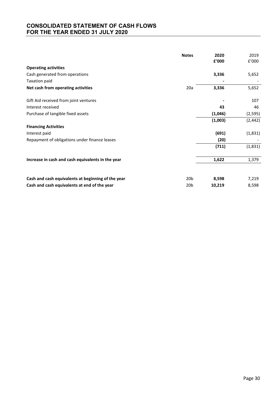### **CONSOLIDATED STATEMENT OF CASH FLOWS FOR THE YEAR ENDED 31 JULY 2020**

|                                                    | <b>Notes</b>    | 2020<br>£'000 | 2019<br>f'000 |
|----------------------------------------------------|-----------------|---------------|---------------|
| <b>Operating activities</b>                        |                 |               |               |
| Cash generated from operations                     |                 | 3,336         | 5,652         |
| <b>Taxation paid</b>                               |                 |               |               |
| Net cash from operating activities                 | 20a             | 3,336         | 5,652         |
| Gift Aid received from joint ventures              |                 |               | 107           |
| Interest received                                  |                 | 43            | 46            |
| Purchase of tangible fixed assets                  |                 | (1,046)       | (2, 595)      |
|                                                    |                 | (1,003)       | (2, 442)      |
| <b>Financing Activities</b>                        |                 |               |               |
| Interest paid                                      |                 | (691)         | (1,831)       |
| Repayment of obligations under finance leases      |                 | (20)          |               |
|                                                    |                 | (711)         | (1,831)       |
| Increase in cash and cash equivalents in the year  |                 | 1,622         | 1,379         |
|                                                    |                 |               |               |
| Cash and cash equivalents at beginning of the year | 20 <sub>b</sub> | 8,598         | 7,219         |
| Cash and cash equivalents at end of the year       | 20 <sub>b</sub> | 10,219        | 8,598         |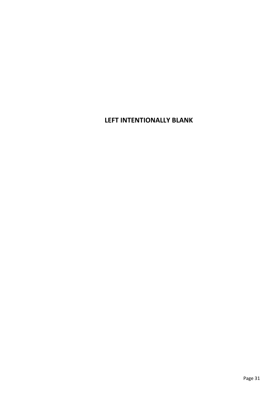### **LEFT INTENTIONALLY BLANK**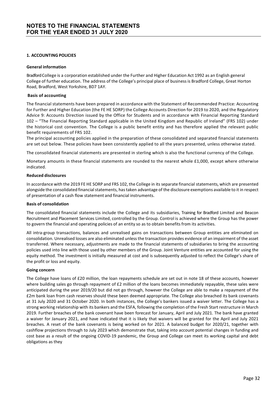#### **1. ACCOUNTING POLICIES**

#### **General information**

Bradford College is a corporation established under the Further and Higher Education Act 1992 as an English general College of further education. The address of the College's principal place of businessis Bradford College, Great Horton Road, Bradford, West Yorkshire, BD7 1AY.

#### **Basis of accounting**

The financial statements have been prepared in accordance with the Statement of Recommended Practice: Accounting for Further and Higher Education (the FE HE SORP) the College Accounts Direction for 2019 to 2020, and the Regulatory Advice 9: Accounts Direction issued by the Office for Students and in accordance with Financial Reporting Standard 102 – "The Financial Reporting Standard applicable in the United Kingdom and Republic of Ireland" (FRS 102) under the historical cost convention. The College is a public benefit entity and has therefore applied the relevant public benefit requirements of FRS 102.

The principal accounting policies applied in the preparation of these consolidated and separated financial statements are set out below. These policies have been consistently applied to all the years presented, unless otherwise stated.

The consolidated financial statements are presented in sterling which is also the functional currency of the College.

Monetary amounts in these financial statements are rounded to the nearest whole £1,000, except where otherwise indicated.

#### **Reduced disclosures**

In accordance with the 2019 FE HE SORP and FRS 102, the College in its separate financial statements, which are presented alongside the consolidated financial statements, has taken advantage of the disclosure exemptions available to it in respect of presentation of a cash flow statement and financial instruments.

#### **Basis of consolidation**

The consolidated financial statements include the College and its subsidiaries, Training for Bradford Limited and Beacon Recruitment and Placement Services Limited, controlled by the Group. Control is achieved where the Group has the power to govern the financial and operating policies of an entity so as to obtain benefits from its activities.

All intra-group transactions, balances and unrealised gains on transactions between Group entities are eliminated on consolidation. Unrealised losses are also eliminated unless the transaction provides evidence of an impairment of the asset transferred. Where necessary, adjustments are made to the financial statements of subsidiaries to bring the accounting policies used into line with those used by other members of the Group. Joint Venture entities are accounted for using the equity method. The investment is initially measured at cost and is subsequently adjusted to reflect the College's share of the profit or loss and equity.

#### **Going concern**

The College have loans of £20 million, the loan repayments schedule are set out in note 18 of these accounts, however where building sales go through repayment of £2 million of the loans becomes immediately repayable, these sales were anticipated during the year 2019/20 but did not go through, however the College are able to make a repayment of the £2m bank loan from cash reserves should these been deemed appropriate. The College also breached its bank covenants at 31 July 2020 and 31 October 2020. In both instances, the College's bankers issued a waiver letter. The College has a strong working relationship with its bankers and the ESFA, following the completion of the Fresh Start restructure in March 2019. Further breaches of the bank covenant have been forecast for January, April and July 2021. The bank have granted a waiver for January 2021, and have indicated that it is likely that waivers will be granted for the April and July 2021 breaches. A reset of the bank covenants is being worked on for 2021. A balanced budget for 2020/21, together with cashflow projections through to July 2023 which demonstrate that, taking into account potential changes in funding and cost base as a result of the ongoing COVID-19 pandemic, the Group and College can meet its working capital and debt obligations as they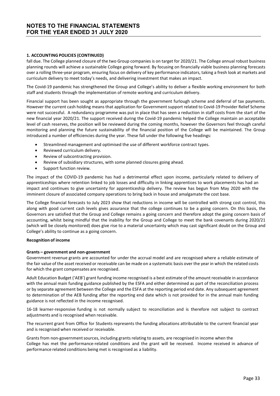fall due. The College planned closure of the two Group companies is on target for 2020/21. The College annual robust business planning rounds will achieve a sustainable College going forward. By focusing on financially viable business planning forecasts over a rolling three-year program, ensuring focus on delivery of key performance indicators, taking a fresh look at markets and curriculum delivery to meet today's needs, and delivering investment that makes an impact.

The Covid-19 pandemic has strengthened the Group and College's ability to deliver a flexible working environment for both staff and students through the implementation of remote working and curriculum delivery.

Financial support has been sought as appropriate through the government furlough scheme and deferral of tax payments. However the current cash holding means that application for Government support related to Covid-19 Provider Relief Scheme were not successful. A redundancy programme was put in place that has seen a reduction in staff costs from the start of the new financial year 2020/21. The support received during the Covid-19 pandemic helped the College maintain an acceptable level of cash reserves, the position will be reviewed during the coming months, however the Governors feel through careful monitoring and planning the future sustainability of the financial position of the College will be maintained. The Group introduced a number of efficiencies during the year. These fall under the following five headings:

- Streamlined management and optimised the use of different workforce contract types.
- Reviewed curriculum delivery.
- Review of subcontracting provision.
- Review of subsidiary structures, with some planned closures going ahead.
- Support function review.

The impact of the COVID-19 pandemic has had a detrimental effect upon income, particularly related to delivery of apprenticeships where retention linked to job losses and difficulty in linking apprentices to work placements has had an impact and continues to give uncertainty for apprenticeship delivery. The review has begun from May 2020 with the imminent closure of associated company operations to bring back in house and amalgamate the cost base.

The College financial forecasts to July 2023 show that reductions in income will be controlled with strong cost control, this along with good current cash levels gives assurance that the college continues to be a going concern. On this basis, the Governors are satisfied that the Group and College remains a going concern and therefore adopt the going concern basis of accounting, whilst being mindful that the inability for the Group and College to meet the bank covenants during 2020/21 (which will be closely monitored) does give rise to a material uncertainty which may cast significant doubt on the Group and College's ability to continue as a going concern.

#### **Recognition of income**

#### **Grants – government and non-government**

Government revenue grants are accounted for under the accrual model and are recognised where a reliable estimate of the fair value of the asset received or receivable can be made on a systematic basis over the year in which the related costs for which the grant compensates are recognised.

Adult Education Budget ('AEB') grant funding income recognised is a best estimate of the amount receivable in accordance with the annual main funding guidance published by the ESFA and either determined as part of the reconciliation process or by separate agreement between the College and the ESFA at the reporting period end date. Any subsequent agreement to determination of the AEB funding after the reporting end date which is not provided for in the annual main funding guidance is not reflected in the income recognised.

16-18 learner-responsive funding is not normally subject to reconciliation and is therefore not subject to contract adjustments and is recognised when receivable.

The recurrent grant from Office for Students represents the funding allocations attributable to the current financial year and is recognised when received or receivable.

Grants from non-government sources, including grants relating to assets, are recognised in income when the College has met the performance-related conditions and the grant will be received. Income received in advance of performance related conditions being met is recognised as a liability.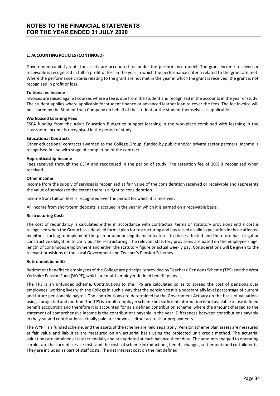Government capital grants for assets are accounted for under the performance model. The grant income received or receivable is recognised in full in profit or loss in the year in which the performance criteria related to the grant are met. Where the performance criteria relating to the grant are not met in the year in which the grant is received, the grant is not recognised in profit or loss.

#### **Tuitions fee Income**

Invoices are raised against courses where a fee is due from the student and recognised in the accounts in the year of study. The student applies where applicable for student finance or advanced learner loan to cover the fees. The fee invoice will be cleared by the Student Loan Company on behalf of the student or the student themselves as applicable.

#### **Workbased Learning Fees**

ESFA funding from the Adult Education Budget to support learning in the workplace combined with learning in the classroom. Income is recognised in the period of study.

#### **Educational Contracts**

Other educational contracts awarded to the College Group, funded by public and/or private sector partners. Income is recognised in line with stage of completion of the contract.

#### **Apprenticeship Income**

Fees received through the ESFA and recognised in the period of study. The retention fee of 20% is recognised when received.

#### **Other income**

Income from the supply of services is recognised at fair value of the consideration received or receivable and represents the value of services to the extent there is a right to consideration.

Income from tuition fees is recognised over the period for which it is received.

All income from short-term depositsis accrued in the year in which it is earned on a receivable basis.

#### **Restructuring Costs**

The cost of redundancy is calculated either in accordance with contractual terms or statutory provisions and a cost is recognised when the Group has a detailed formal plan for restructuring and has raised a valid expectation in those affected by either starting to implement the plan or announcing its main features to those affected and therefore has a legal or constructive obligation to carry out the restructuring. The relevant statutory provisions are based on the employee's age, length of continuous employment and either the statutory figure or actual weekly pay. Considerations will be given to the relevant provisions of the Local Government and Teacher's Pension Schemes.

#### **Retirement benefits**

Retirement benefitsto employees of the College are principally provided by Teachers' Pensions Scheme (TPS) and the West Yorkshire Pension Fund (WYPF), which are multi-employer defined benefit plans.

The TPS is an unfunded scheme. Contributions to the TPS are calculated so as to spread the cost of pensions over employees' working lives with the College in such a way that the pension cost is a substantially level percentage of current and future pensionable payroll. The contributions are determined by the Government Actuary on the basis of valuations using a projected unit method. The TPS is a multi-employerscheme butsufficientinformation is not available to use defined benefit accounting and therefore it is accounted for as a defined contribution scheme, where the amount charged to the statement of comprehensive income is the contributions payable in the year. Differences between contributions payable in the year and contributions actually paid are shown as either accruals or prepayments.

The WYPF is a funded scheme, and the assets of the scheme are held separately. Pension scheme plan assets are measured at fair value and liabilities are measured on an actuarial basis using the projected unit credit method. The actuarial valuations are obtained at least triennially and are updated at each balance sheet date. The amounts charged to operating surplus are the current service costs and the costs of scheme introductions, benefit changes, settlements and curtailments. They are included as part of staff costs. The net interest cost on the net defined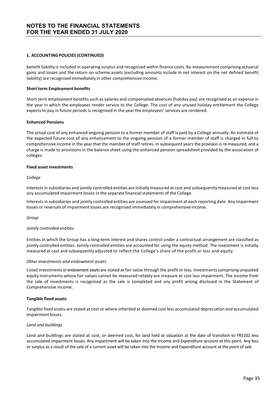benefit liability is included in operating surplus and recognised within finance costs. Re-measurement comprising actuarial gains and losses and the return on scheme assets (excluding amounts include in net interest on the net defined benefit liability) are recognised immediately in other comprehensive income.

#### **Short term Employment benefits**

Short term employment benefits such as salaries and compensated absences (holiday pay) are recognised as an expense in the year in which the employees render service to the College. The cost of any unused holiday entitlement the College expects to pay in future periods is recognised in the year the employees' services are rendered.

#### **Enhanced Pensions**

The actual cost of any enhanced ongoing pension to a former member of staff is paid by a College annually. An estimate of the expected future cost of any enhancement to the ongoing pension of a former member of staff is charged in full to comprehensive income in the year that the member of staff retires. In subsequent years the provision is re-measured, and a charge is made to provisions in the balance sheet using the enhanced pension spreadsheet provided by the association of colleges.

#### **Fixed asset investments**

#### *College*

Interestsin subsidiaries and jointly controlled entities are initially measured at cost and subsequentlymeasured at cost less any accumulated impairment losses in the separate financial statements of the College.

Interestsin subsidiaries and jointly controlled entities are assessed for impairment at each reporting date. Any impairment losses or reversals of impairment losses are recognised immediately in comprehensive income.

*Group*

#### *Jointly controlled entities*

Entities in which the Group has a long-term interest and shares control under a contractual arrangement are classified as jointly controlled entities. Jointly controlled entities are accounted for using the equity method. The investment is initially measured at cost and subsequently adjusted to reflect the College's share of the profit or loss and equity.

#### *Other investments and endowment assets*

Listed investments or endowment assets are stated at fair value through the profit or loss. Investments comprising unquoted equity instruments whose fair values cannot be measured reliably are measure at cost less impairment. The income from the sale of investments is recognised as the sale is completed and any profit arising disclosed in the Statement of Comprehensive Income.

#### **Tangible fixed assets**

Tangible fixed assets are stated at cost or where inherited at deemed cost less accumulated depreciation and accumulated impairment losses.

#### *Land and buildings*

Land and buildings are stated at cost, or deemed cost, for land held at valuation at the date of transition to FRS102 less accumulated impairment losses. Any impartment will be taken into the Income and Expenditure account at this point. Any loss or surplus as a result of the sale of a current asset will be taken into the Income and Expenditure account at the point of sale.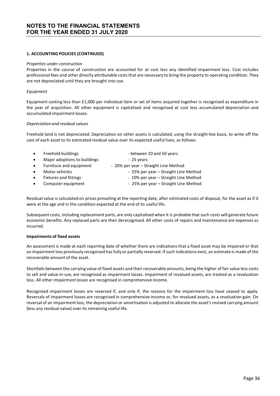#### *Properties under construction*

Properties in the course of construction are accounted for at cost less any identified impairment loss. Cost includes professionalfees and other directly attributable coststhat are necessary to bring the property to operating condition. They are not depreciated until they are brought into use.

#### *Equipment*

Equipment costing less than £1,000 per individual item or set of items acquired together is recognised as expenditure in the year of acquisition. All other equipment is capitalised and recognised at cost less accumulated depreciation and accumulated impairment losses.

#### *Depreciation and residual values*

Freehold land is not depreciated. Depreciation on other assets is calculated, using the straight-line basis, to write off the cost of each asset to its estimated residual value over its expected useful lives, as follows:

| $\bullet$ | Freehold buildings           | - between 10 and 50 years             |
|-----------|------------------------------|---------------------------------------|
| $\bullet$ | Major adoptions to buildings | - 25 years                            |
| $\bullet$ | Furniture and equipment      | - 20% per year - Straight Line Method |
| $\bullet$ | Motor vehicles               | - 25% per year – Straight Line Method |
| $\bullet$ | Fixtures and fittings        | - 10% per year - Straight Line Method |
| $\bullet$ | Computer equipment           | - 25% per year - Straight Line Method |

Residual value is calculated on prices prevailing at the reporting date, after estimated costs of disposal, for the asset as if it were at the age and in the condition expected at the end of its useful life.

Subsequent costs, including replacement parts, are only capitalised when it is probable that such costs will generate future economic benefits. Any replaced parts are then derecognised. All other costs of repairs and maintenance are expenses as incurred.

#### **Impairments of fixed assets**

An assessment is made at each reporting date of whether there are indications that a fixed asset may be impaired or that an impairment loss previously recognised hasfully or partially reversed. If such indications exist, an estimate is made of the recoverable amount of the asset.

Shortfalls between the carrying value of fixed assets and their recoverable amounts, being the higher of fair value less costs to sell and value-in-use, are recognised as impairment losses. Impairment of revalued assets, are treated as a revaluation loss. All other impairment losses are recognised in comprehensive income.

Recognised impairment losses are reversed if, and only if, the reasons for the impairment loss have ceased to apply. Reversals of impairment losses are recognised in comprehensive income or, for revalued assets, as a revaluation gain. On reversal of an impairment loss, the depreciation or amortisation is adjusted to allocate the asset's revised carrying amount (less any residual value) over its remaining useful life.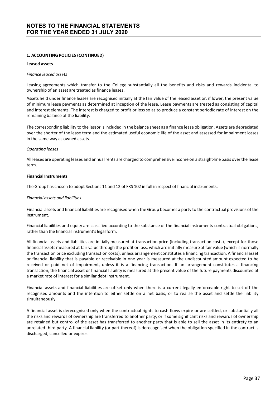#### **Leased assets**

#### *Finance leased assets*

Leasing agreements which transfer to the College substantially all the benefits and risks and rewards incidental to ownership of an asset are treated as finance leases.

Assets held under finance leases are recognised initially at the fair value of the leased asset or, if lower, the present value of minimum lease payments as determined at inception of the lease. Lease payments are treated as consisting of capital and interest elements. The interest is charged to profit or loss so as to produce a constant periodic rate of interest on the remaining balance of the liability.

The corresponding liability to the lessor is included in the balance sheet as a finance lease obligation. Assets are depreciated over the shorter of the lease term and the estimated useful economic life of the asset and assessed for impairment losses in the same way as owned assets.

#### *Operating leases*

All leases are operating leases and annual rents are charged to comprehensive income on a straight-line basis over the lease term.

#### **Financial Instruments**

The Group has chosen to adopt Sections 11 and 12 of FRS 102 in full in respect of financial instruments.

#### *Financial assets and liabilities*

Financial assets and financial liabilities are recognised when the Group becomes a party to the contractual provisions of the instrument.

Financial liabilities and equity are classified according to the substance of the financial instruments contractual obligations, rather than the financial instrument'slegal form.

All financial assets and liabilities are initially measured at transaction price (including transaction costs), except for those financial assets measured at fair value through the profit or loss, which are initially measure at fair value (which is normally the transaction price excluding transaction costs), unless arrangement constitutes a financing transaction. A financial asset or financial liability that is payable or receivable in one year is measured at the undiscounted amount expected to be received or paid net of impairment, unless it is a financing transaction. If an arrangement constitutes a financing transaction, the financial asset or financial liability is measured at the present value of the future payments discounted at a market rate of interest for a similar debt instrument.

Financial assets and financial liabilities are offset only when there is a current legally enforceable right to set off the recognised amounts and the intention to either settle on a net basis, or to realise the asset and settle the liability simultaneously.

A financial asset is derecognised only when the contractual rights to cash flows expire or are settled, or substantially all the risks and rewards of ownership are transferred to another party, or if some significant risks and rewards of ownership are retained but control of the asset has transferred to another party that is able to sell the asset in its entirety to an unrelated third party. A financial liability (or part thereof) is derecognised when the obligation specified in the contract is discharged, cancelled or expires.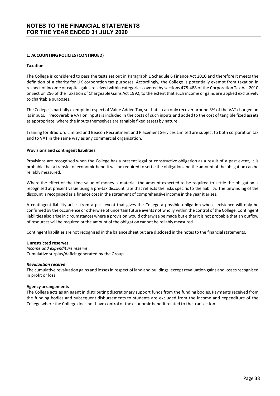#### **Taxation**

The College is considered to pass the tests set out in Paragraph 1 Schedule 6 Finance Act 2010 and therefore it meets the definition of a charity for UK corporation tax purposes. Accordingly, the College is potentially exempt from taxation in respect of income or capital gains received within categories covered by sections 478-488 of the Corporation Tax Act 2010 or Section 256 of the Taxation of Chargeable Gains Act 1992, to the extent thatsuch income or gains are applied exclusively to charitable purposes.

The College is partially exempt in respect of Value Added Tax, so that it can only recover around 3% of the VAT charged on its inputs. Irrecoverable VAT on inputs is included in the costs of such inputs and added to the cost of tangible fixed assets as appropriate, where the inputs themselves are tangible fixed assets by nature.

Training for Bradford Limited and Beacon Recruitment and Placement Services Limited are subject to both corporation tax and to VAT in the same way as any commercial organisation.

#### **Provisions and contingent liabilities**

Provisions are recognised when the College has a present legal or constructive obligation as a result of a past event, it is probable that a transfer of economic benefit will be required to settle the obligation and the amount of the obligation can be reliably measured.

Where the effect of the time value of money is material, the amount expected to be required to settle the obligation is recognised at present value using a pre-tax discount rate that reflects the risks specific to the liability. The unwinding of the discount is recognised as a finance cost in the statement of comprehensive income in the year it arises.

A contingent liability arises from a past event that gives the College a possible obligation whose existence will only be confirmed by the occurrence or otherwise of uncertain future events not wholly within the control of the College. Contingent liabilities also arise in circumstances where a provision would otherwise be made but either it is not probable that an outflow of resources will be required or the amount of the obligation cannot be reliably measured.

Contingent liabilities are not recognised in the balance sheet but are disclosed in the notes to the financial statements.

#### **Unrestricted reserves**

*Income and expenditure reserve* Cumulative surplus/deficit generated by the Group.

#### *Revaluation reserve*

The cumulative revaluation gains and losses in respect of land and buildings, except revaluation gains and losses recognised in profit or loss.

#### **Agency arrangements**

The College acts as an agent in distributing discretionary support funds from the funding bodies. Payments received from the funding bodies and subsequent disbursements to students are excluded from the income and expenditure of the College where the College does not have control of the economic benefit related to the transaction.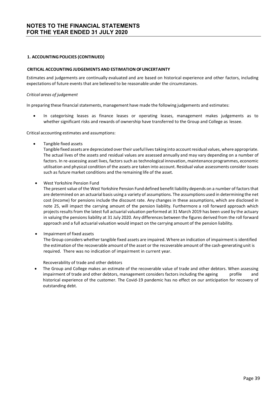#### **CRITICAL ACCOUNTING JUDGEMENTS AND ESTIMATION OF UNCERTAINTY**

Estimates and judgements are continually evaluated and are based on historical experience and other factors, including expectations of future events that are believed to be reasonable under the circumstances.

#### *Critical areas of judgement*

In preparing these financial statements, management have made the following judgements and estimates:

• In categorising leases as finance leases or operating leases, management makes judgements as to whether significant risks and rewards of ownership have transferred to the Group and College as lessee.

Critical accounting estimates and assumptions:

• Tangible fixed assets

Tangible fixed assets are depreciated over their useful lives taking into account residual values, where appropriate. The actual lives of the assets and residual values are assessed annually and may vary depending on a number of factors. In re-assessing asset lives, factors such as technological innovation, maintenance programmes, economic utilisation and physical condition of the assets are taken into account. Residual value assessments consider issues such as future market conditions and the remaining life of the asset.

• West Yorkshire Pension Fund

The present value of the West Yorkshire Pension Fund defined benefit liability depends on a number of factors that are determined on an actuarial basis using a variety of assumptions. The assumptions used in determining the net cost (income) for pensions include the discount rate. Any changes in these assumptions, which are disclosed in note 25, will impact the carrying amount of the pension liability. Furthermore a roll forward approach which projects results from the latest full actuarial valuation performed at 31 March 2019 has been used by the actuary in valuing the pensions liability at 31 July 2020. Any differences between the figures derived from the roll forward approach and a full actuarial valuation would impact on the carrying amount of the pension liability.

• Impairment of fixed assets

The Group considers whether tangible fixed assets are impaired. Where an indication of impairment is identified the estimation of the recoverable amount of the asset or the recoverable amount of the cash-generating unit is required. There was no indication of impairment in current year.

Recoverability of trade and other debtors

• The Group and College makes an estimate of the recoverable value of trade and other debtors. When assessing impairment of trade and other debtors, management considers factors including the ageing profile and historical experience of the customer. The Covid-19 pandemic has no effect on our anticipation for recovery of outstanding debt.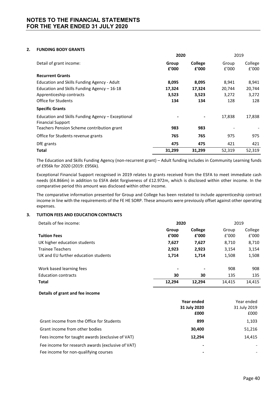#### **2. FUNDING BODY GRANTS**

|                                                                               | 2020           | 2019                    |                |                  |
|-------------------------------------------------------------------------------|----------------|-------------------------|----------------|------------------|
| Detail of grant income:                                                       | Group<br>f'000 | <b>College</b><br>f'000 | Group<br>f'000 | College<br>f'000 |
| <b>Recurrent Grants</b>                                                       |                |                         |                |                  |
| Education and Skills Funding Agency - Adult                                   | 8,095          | 8,095                   | 8,941          | 8,941            |
| Education and Skills Funding Agency - 16-18                                   | 17,324         | 17,324                  | 20,744         | 20,744           |
| Apprenticeship contracts                                                      | 3,523          | 3,523                   | 3,272          | 3,272            |
| Office for Students                                                           | 134            | 134                     | 128            | 128              |
| <b>Specific Grants</b>                                                        |                |                         |                |                  |
| Education and Skills Funding Agency - Exceptional<br><b>Financial Support</b> |                | -                       | 17,838         | 17,838           |
| Teachers Pension Scheme contribution grant                                    | 983            | 983                     |                |                  |
| Office for Students revenue grants                                            | 765            | 765                     | 975            | 975              |
| DfE grants                                                                    | 475            | 475                     | 421            | 421              |
| <b>Total</b>                                                                  | 31,299         | 31,299                  | 52,319         | 52,319           |

The Education and Skills Funding Agency (non-recurrent grant) – Adult funding includes in Community Learning funds of £956k for 2020 (2019: £956k).

Exceptional Financial Support recognised in 2019 relates to grants received from the ESFA to meet immediate cash needs (£4.866m) in addition to ESFA debt forgiveness of £12.972m, which is disclosed within other income. In the comparative period this amount was disclosed within other income.

The comparative information presented for Group and College has been restated to include apprenticeship contract income in line with the requirements of the FE HE SORP. These amounts were previously offset against other operating expenses.

#### **3. TUITION FEES AND EDUCATION CONTRACTS**

| Details of fee income:               | 2020   |                | 2019   |         |
|--------------------------------------|--------|----------------|--------|---------|
|                                      | Group  | <b>College</b> | Group  | College |
| <b>Tuition Fees</b>                  | £'000  | f'000          | f'000  | f'000   |
| UK higher education students         | 7,627  | 7,627          | 8,710  | 8,710   |
| <b>Trainee Teachers</b>              | 2,923  | 2,923          | 3,154  | 3,154   |
| UK and EU further education students | 1,714  | 1,714          | 1,508  | 1,508   |
| Work based learning fees             | -      |                | 908    | 908     |
| <b>Education contracts</b>           | 30     | 30             | 135    | 135     |
| <b>Total</b>                         | 12,294 | 12,294         | 14,415 | 14,415  |

#### **Details of grant and fee income**

|                                                   | Year ended   | Year ended   |
|---------------------------------------------------|--------------|--------------|
|                                                   | 31 July 2020 | 31 July 2019 |
|                                                   | £000         | £000         |
| Grant income from the Office for Students         | 899          | 1,103        |
| Grant income from other bodies                    | 30,400       | 51,216       |
| Fees income for taught awards (exclusive of VAT)  | 12.294       | 14,415       |
| Fee income for research awards (exclusive of VAT) |              |              |
| Fee income for non-qualifying courses             | ۰            |              |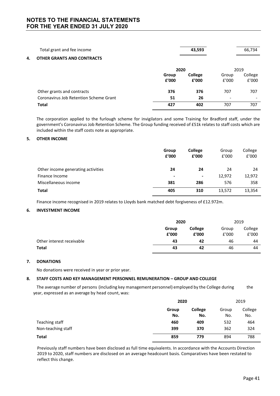### **NOTES TO THE FINANCIAL STATEMENTS FOR THE YEAR ENDED 31 JULY 2020**

| 4. | Total grant and fee income<br><b>OTHER GRANTS AND CONTRACTS</b> |       | 43,593         |       | 66,734                   |
|----|-----------------------------------------------------------------|-------|----------------|-------|--------------------------|
|    |                                                                 | 2020  |                |       | 2019                     |
|    |                                                                 | Group | <b>College</b> | Group | College                  |
|    |                                                                 | f'000 | £'000          | f'000 | f'000                    |
|    | Other grants and contracts                                      | 376   | 376            | 707   | 707                      |
|    | Coronavirus Job Retention Scheme Grant                          | 51    | 26             | ۰     | $\overline{\phantom{0}}$ |
|    | <b>Total</b>                                                    | 427   | 402            | 707   | 707                      |

The corporation applied to the furlough scheme for invigilators and some Training for Bradford staff, under the government's Coronavirus Job Retention Scheme. The Group funding received of £51k relates to staff costs which are included within the staff costs note as appropriate.

#### **5. OTHER INCOME**

|                                    | Group<br>£'000 | <b>College</b><br>f'000 | Group<br>f'000 | College<br>£'000 |
|------------------------------------|----------------|-------------------------|----------------|------------------|
| Other income generating activities | 24             | 24                      | 24             | 24               |
| Finance Income                     | ۰              | $\blacksquare$          | 12.972         | 12,972           |
| Miscellaneous income               | 381            | 286                     | 576            | 358              |
| Total                              | 405            | 310                     | 13,572         | 13,354           |

Finance income recognised in 2019 relates to Lloyds bank matched debt forgiveness of £12.972m.

#### **6. INVESTMENT INCOME**

|                           | 2020           |                         | 2019           |                  |
|---------------------------|----------------|-------------------------|----------------|------------------|
|                           | Group<br>£'000 | <b>College</b><br>£'000 | Group<br>£'000 | College<br>f'000 |
| Other interest receivable | 43             | 42                      | 46             | 44               |
| Total                     | 43             | 42                      | 46             | 44               |

#### **7. DONATIONS**

No donations were received in year or prior year.

#### **8. STAFF COSTS AND KEY MANAGEMENT PERSONNEL REMUNERATION – GROUP AND COLLEGE**

The average number of persons (including key management personnel) employed by the College during the year, expressed as an average by head count, was:

|                    | 2020         |                       | 2019         |                |
|--------------------|--------------|-----------------------|--------------|----------------|
|                    | Group<br>No. | <b>College</b><br>No. | Group<br>No. | College<br>No. |
| Teaching staff     | 460          | 409                   | 532          | 464            |
| Non-teaching staff | 399          | 370                   | 362          | 324            |
| Total              | 859          | 779                   | 894          | 788            |

Previously staff numbers have been disclosed as full time equivalents. In accordance with the Accounts Direction 2019 to 2020, staff numbers are disclosed on an average headcount basis. Comparatives have been restated to reflect this change.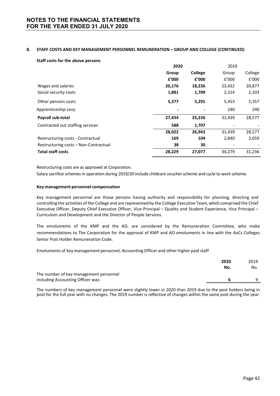#### **8. STAFF COSTS AND KEY MANAGEMENT PERSONNEL REMUNERATION – GROUP AND COLLEGE (CONTINUED)**

#### **Staff costs for the above persons**

|                                       | 2020   |                | 2019   |         |
|---------------------------------------|--------|----------------|--------|---------|
|                                       | Group  | <b>College</b> | Group  | College |
|                                       | £'000  | £'000          | f'000  | f'000   |
| Wages and salaries                    | 20,176 | 18,236         | 23,432 | 20,877  |
| Social security costs                 | 1,881  | 1,709          | 2,314  | 2,103   |
| Other pension costs                   | 5,377  | 5,291          | 5,453  | 5,357   |
| Apprenticeship Levy                   |        |                | 240    | 240     |
| Payroll sub-total                     | 27,434 | 25,236         | 31,439 | 28,577  |
| Contracted out staffing services      | 588    | 1,707          |        |         |
|                                       | 28,022 | 26,943         | 31,439 | 28,577  |
| Restructuring costs - Contractual     | 169    | 104            | 2,840  | 2,659   |
| Restructuring costs – Non-Contractual | 38     | 30             |        |         |
| <b>Total staff costs</b>              | 28,229 | 27,077         | 34,279 | 31,236  |

Restructuring costs are as approved at Corporation.

Salary sacrifice schemes in operation during 2019/20 include childcare voucher scheme and cycle to work scheme.

#### **Key management personnel compensation**

Key management personnel are those persons having authority and responsibility for planning, directing and controlling the activities of the College and are represented by the College Executive Team, which comprised the Chief Executive Officer, Deputy Chief Executive Officer, Vice Principal – Quality and Student Experience, Vice Principal – Curriculum and Development and the Director of People Services.

The emoluments of the KMP and the AO, are considered by the Remuneration Committee, who make recommendations to The Corporation for the approval of KMP and AO emoluments in line with the AoCs Colleges Senior Post Holder Remuneration Code.

Emoluments of key management personnel, Accounting Officer and other higher paid staff

|                                        | 2020 | 2019 |
|----------------------------------------|------|------|
|                                        | No.  | No.  |
| The number of key management personnel |      |      |
| including Accounting Officer was:      |      |      |
|                                        |      |      |

The numbers of key management personnel were slightly lower in 2020 than 2019 due to the post holders being in post for the full year with no changes. The 2019 number is reflective of changes within the same post during the year.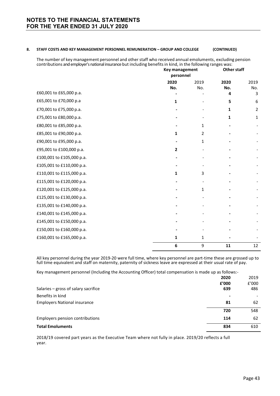#### **8. STAFF COSTS AND KEY MANAGEMENT PERSONNEL REMUNERATION – GROUP AND COLLEGE (CONTINUED)**

The number of key management personnel and other staff who received annual emoluments, excluding pension contributions and employer's national insurance but including benefitsin kind, in the following ranges was:

|                           |              | Key management |      | Other staff |
|---------------------------|--------------|----------------|------|-------------|
|                           |              | personnel      |      |             |
|                           | 2020         | 2019           | 2020 | 2019        |
|                           | No.          | No.            | No.  | No.         |
| £60,001 to £65,000 p.a.   |              |                | 4    | 3           |
| £65,001 to £70,000 p.a    | 1            |                | 5    | 6           |
| £70,001 to £75,000 p.a.   |              |                | 1    | 2           |
| £75,001 to £80,000 p.a.   |              |                | 1    | 1           |
| £80,001 to £85,000 p.a.   |              | $\mathbf{1}$   |      |             |
| £85,001 to £90,000 p.a.   | 1            | $\overline{2}$ |      |             |
| £90,001 to £95,000 p.a.   |              | 1              |      |             |
| £95,001 to £100,000 p.a.  | $\mathbf{2}$ |                |      |             |
| £100,001 to £105,000 p.a. |              |                |      |             |
| £105,001 to £110,000 p.a. |              |                |      |             |
| £110,001 to £115,000 p.a. | 1            | 3              |      |             |
| £115,001 to £120,000 p.a. |              |                |      |             |
| £120,001 to £125,000 p.a. |              | 1              |      |             |
| £125,001 to £130,000 p.a. |              |                |      |             |
| £135,001 to £140,000 p.a. |              |                |      |             |
| £140,001 to £145,000 p.a. |              |                |      |             |
| £145,001 to £150,000 p.a. |              |                |      |             |
| £150,001 to £160,000 p.a. |              |                |      |             |
| £160,001 to £165,000 p.a. | $\mathbf{1}$ | $\mathbf{1}$   |      |             |
|                           | 6            | 9              | 11   | 12          |

All key personnel during the year 2019-20 were full time, where key personnel are part-time these are grossed up to full time equivalent and staff on maternity, paternity of sickness leave are expressed at their usual rate of pay.

Key management personnel (Including the Accounting Officer) total compensation is made up as follows:-

|                                      | 2020  | 2019  |
|--------------------------------------|-------|-------|
|                                      | £'000 | f'000 |
| Salaries - gross of salary sacrifice | 639   | 486   |
| Benefits in kind                     |       | ۰.    |
| <b>Employers National insurance</b>  | 81    | 62    |
|                                      | 720   | 548   |
| Employers pension contributions      | 114   | 62    |
| <b>Total Emoluments</b>              | 834   | 610   |

2018/19 covered part years as the Executive Team where not fully in place. 2019/20 reflects a full year.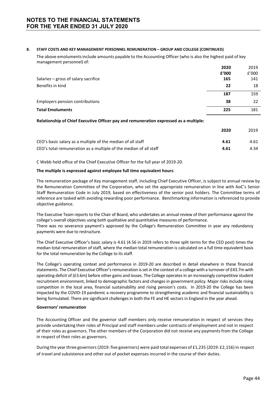#### **8. STAFF COSTS AND KEY MANAGEMENT PERSONNEL REMUNERATION – GROUP AND COLLEGE (CONTINUED)**

The above emoluments include amounts payable to the Accounting Officer (who is also the highest paid of key management personnel) of:

|                                      | 2020  | 2019  |
|--------------------------------------|-------|-------|
|                                      | £'000 | f'000 |
| Salaries - gross of salary sacrifice | 165   | 141   |
| Benefits in kind                     | 22    | 18    |
|                                      | 187   | 159   |
| Employers pension contributions      | 38    | 22    |
| <b>Total Emoluments</b>              | 225   | 181   |

**Relationship of Chief Executive Officer pay and remuneration expressed as a multiple:**

|                                                                   | 2020 | 2019 |
|-------------------------------------------------------------------|------|------|
| CEO's basic salary as a multiple of the median of all staff       | 4.61 | 4.61 |
| CEO's total remuneration as a multiple of the median of all staff | 4.61 | 4.34 |

C Webb held office of the Chief Executive Officer for the full year of 2019-20.

#### **The multiple is expressed against employee full time equivalent hours**:

The remuneration package of Key management staff, including Chief Executive Officer, is subject to annual review by the Remuneration Committee of the Corporation, who set the appropriate remuneration in line with AoC's Senior Staff Remuneration Code in July 2019, based on effectiveness of the senior post holders. The Committee terms of reference are tasked with avoiding rewarding poor performance. Benchmarking information is referenced to provide objective guidance.

The Executive Team reports to the Chair of Board, who undertakes an annual review of their performance against the college's overall objectives using both qualitative and quantitative measures of performance. There was no severance payment's approved by the College's Remuneration Committee in year any redundancy

payments were due to restructure.

The Chief Executive Officer's basic salary is 4.61 (4.56 in 2019 refers to three split terms for the CEO post) times the median total remuneration of staff, where the median total remuneration is calculated on a full time equivalent basis for the total remuneration by the College to its staff.

The College's operating context and performance in 2019-20 are described in detail elsewhere in these financial statements. The Chief Executive Officer's remuneration is set in the context of a college with a turnover of £43.7m with operating deficit of (£3.6m) before other gains and losses. The College operates in an increasingly competitive student recruitment environment, linked to demographic factors and changes in government policy. Major risks include rising competition in the local area, financial sustainability and rising pension's costs. In 2019-20 the College has been impacted by the COVID-19 pandemic a recovery programme to strengthening academic and financial sustainability is being formulated. There are significant challenges in both the FE and HE sectors in England in the year ahead.

#### **Governors'remuneration**

The Accounting Officer and the governor staff members only receive remuneration in respect of services they provide undertaking their roles of Principal and staff members under contracts of employment and not in respect of their roles as governors. The other members of the Corporation did not receive any payments from the College in respect of their roles as governors.

During the year three governors (2019: five governors) were paid total expenses of £1,235 (2019: £2,156) in respect of travel and subsistence and other out of pocket expenses incurred in the course of their duties.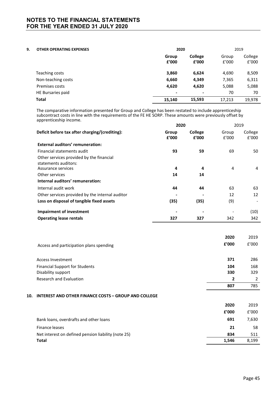### **NOTES TO THE FINANCIAL STATEMENTS FOR THE YEAR ENDED 31 JULY 2020**

| 9. | <b>OTHER OPERATING EXPENSES</b> | 2020           |                         | 2019           |                  |
|----|---------------------------------|----------------|-------------------------|----------------|------------------|
|    |                                 | Group<br>£'000 | <b>College</b><br>f'000 | Group<br>f'000 | College<br>f'000 |
|    | Teaching costs                  | 3,860          | 6,624                   | 4,690          | 8,509            |
|    | Non-teaching costs              | 6,660          | 4,349                   | 7,365          | 6,311            |
|    | Premises costs                  | 4,620          | 4,620                   | 5,088          | 5,088            |
|    | HE Bursaries paid               |                | $\blacksquare$          | 70             | 70               |
|    | <b>Total</b>                    | 15,140         | 15,593                  | 17.213         | 19,978           |

The comparative information presented for Group and College has been restated to include apprenticeship subcontract costs in line with the requirements of the FE HE SORP. These amounts were previously offset by apprenticeship income.

|                                                 | 2020           |                  | 2019           |                              |
|-------------------------------------------------|----------------|------------------|----------------|------------------------------|
| Deficit before tax after charging/(crediting):  | Group<br>£'000 | College<br>£'000 | Group<br>f'000 | College<br>f'000             |
| <b>External auditors' remuneration:</b>         |                |                  |                |                              |
| Financial statements audit                      | 93             | 59               | 69             | 50                           |
| Other services provided by the financial        |                |                  |                |                              |
| statements auditors:<br>Assurance services      | 4              | 4                | 4              | 4                            |
| Other services                                  | 14             | 14               |                |                              |
| Internal auditors' remuneration:                |                |                  |                |                              |
| Internal audit work                             | 44             | 44               | 63             | 63                           |
| Other services provided by the internal auditor |                |                  | 12             | 12                           |
| Loss on disposal of tangible fixed assets       | (35)           | (35)             | (9)            | $\qquad \qquad \blacksquare$ |
| <b>Impairment of investment</b>                 |                |                  |                | (10)                         |
| <b>Operating lease rentals</b>                  | 327            | 327              | 342            | 342                          |

|                                         | 2020  | 2019          |
|-----------------------------------------|-------|---------------|
| Access and participation plans spending | f'000 | f'000         |
|                                         |       |               |
| Access Investment                       | 371   | 286           |
| <b>Financial Support for Students</b>   | 104   | 168           |
| Disability support                      | 330   | 329           |
| Research and Evaluation                 | 2     | $\mathcal{P}$ |
|                                         | 807   | 785           |
|                                         |       |               |

### **10. INTEREST AND OTHER FINANCE COSTS – GROUP AND COLLEGE**

|                                                     | 2020  | 2019  |
|-----------------------------------------------------|-------|-------|
|                                                     | f'000 | f'000 |
| Bank loans, overdrafts and other loans              | 691   | 7.630 |
| Finance leases                                      | 21    | 58    |
| Net interest on defined pension liability (note 25) | 834   | 511   |
| Total                                               | 1.546 | 8.199 |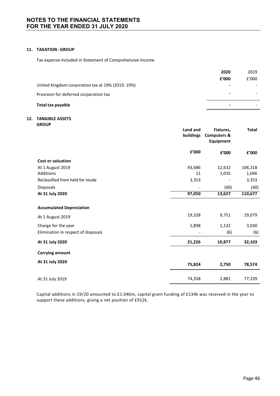#### **11. TAXATION -GROUP**

Tax expense included in Statement of Comprehensive Income

|                                                   | 2020  | 2019  |
|---------------------------------------------------|-------|-------|
|                                                   | f'000 | f'000 |
| United Kingdom corporation tax at 19% (2019: 19%) |       |       |
| Provision for deferred corporation tax            | ٠     |       |
| Total tax payable                                 | -     |       |

#### **12. TANGIBLE ASSETS GROUP**

|                                                                                                                   | Land and<br>buildings | Fixtures,<br><b>Computers &amp;</b><br><b>Equipment</b> | <b>Total</b>           |
|-------------------------------------------------------------------------------------------------------------------|-----------------------|---------------------------------------------------------|------------------------|
|                                                                                                                   | £'000                 | £'000                                                   | £'000                  |
| <b>Cost or valuation</b>                                                                                          |                       |                                                         |                        |
| At 1 August 2019                                                                                                  | 93,686                | 12,632                                                  | 106,318                |
| <b>Additions</b>                                                                                                  | 11                    | 1,035                                                   | 1,046                  |
| Reclassified from held for resale                                                                                 | 3,353                 |                                                         | 3,353                  |
| Disposals                                                                                                         |                       | (40)                                                    | (40)                   |
| At 31 July 2020                                                                                                   | 97,050                | 13,627                                                  | 110,677                |
| <b>Accumulated Depreciation</b><br>At 1 August 2019<br>Charge for the year<br>Elimination in respect of disposals | 19,328<br>1,898       | 9,751<br>1,132<br>(6)                                   | 29,079<br>3,030<br>(6) |
| At 31 July 2020                                                                                                   | 21,226                | 10,877                                                  | 32,103                 |
| <b>Carrying amount</b>                                                                                            |                       |                                                         |                        |
| At 31 July 2020                                                                                                   | 75,824                | 2,750                                                   | 78,574                 |
| At 31 July 2019                                                                                                   | 74,358                | 2,881                                                   | 77,239                 |

Capital additions in 19/20 amounted to £1.046m, capital grant funding of £134k was received in the year to support these additions, giving a net position of £912k.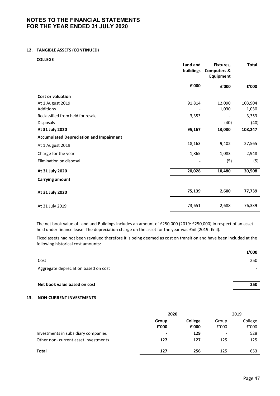#### **12. TANGIBLE ASSETS (CONTINUED)**

**COLLEGE**

|                                                | Land and<br>buildings | Fixtures,<br><b>Computers &amp;</b><br><b>Equipment</b> | <b>Total</b> |
|------------------------------------------------|-----------------------|---------------------------------------------------------|--------------|
|                                                | £'000                 | £'000                                                   | £'000        |
| <b>Cost or valuation</b>                       |                       |                                                         |              |
| At 1 August 2019                               | 91,814                | 12,090                                                  | 103,904      |
| Additions                                      |                       | 1,030                                                   | 1,030        |
| Reclassified from held for resale              | 3,353                 |                                                         | 3,353        |
| Disposals                                      |                       | (40)                                                    | (40)         |
| At 31 July 2020                                | 95,167                | 13,080                                                  | 108,247      |
| <b>Accumulated Depreciation and Impairment</b> |                       |                                                         |              |
| At 1 August 2019                               | 18,163                | 9,402                                                   | 27,565       |
| Charge for the year                            | 1,865                 | 1,083                                                   | 2,948        |
| Elimination on disposal                        |                       | (5)                                                     | (5)          |
| At 31 July 2020                                | 20,028                | 10,480                                                  | 30,508       |
| <b>Carrying amount</b>                         |                       |                                                         |              |
| At 31 July 2020                                | 75,139                | 2,600                                                   | 77,739       |
| At 31 July 2019                                | 73,651                | 2,688                                                   | 76,339       |

The net book value of Land and Buildings includes an amount of £250,000 (2019: £250,000) in respect of an asset held under finance lease. The depreciation charge on the asset for the year was £nil (2019: £nil).

Fixed assets had not been revalued therefore it is being deemed as cost on transition and have been included at the following historical cost amounts:

|                                      | f'000                    |
|--------------------------------------|--------------------------|
| Cost                                 | 250                      |
| Aggregate depreciation based on cost | $\overline{\phantom{0}}$ |

**Net book value based on cost 250**

#### **13. NON-CURRENT INVESTMENTS**

|                                     | 2020           |                         | 2019                     |                  |
|-------------------------------------|----------------|-------------------------|--------------------------|------------------|
|                                     | Group<br>£'000 | <b>College</b><br>£'000 | Group<br>f'000           | College<br>f'000 |
| Investments in subsidiary companies | $\blacksquare$ | 129                     | $\overline{\phantom{a}}$ | 528              |
| Other non-current asset investments | 127            | 127                     | 125                      | 125              |
| <b>Total</b>                        | 127            | 256                     | 125                      | 653              |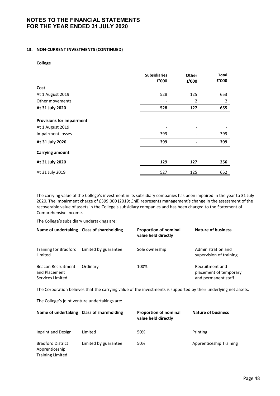#### **13. NON-CURRENT INVESTMENTS (CONTINUED)**

**College**

|                                  | <b>Subsidiaries</b><br>£'000 | <b>Other</b><br>£'000 | Total<br>£'000 |
|----------------------------------|------------------------------|-----------------------|----------------|
| Cost                             |                              |                       |                |
| At 1 August 2019                 | 528                          | 125                   | 653            |
| Other movements                  |                              | 2                     | 2              |
| At 31 July 2020                  | 528                          | 127                   | 655            |
| <b>Provisions for impairment</b> |                              |                       |                |
| At 1 August 2019                 |                              |                       |                |
| Impairment losses                | 399                          |                       | 399            |
| At 31 July 2020                  | 399                          |                       | 399            |
| <b>Carrying amount</b>           |                              |                       |                |
| At 31 July 2020                  | 129                          | 127                   | 256            |
| At 31 July 2019                  | 527                          | 125                   | 652            |

The carrying value of the College's investment in its subsidiary companies has been impaired in the year to 31 July 2020. The impairment charge of £399,000 (2019: £nil) represents management's change in the assessment of the recoverable value of assets in the College's subsidiary companies and has been charged to the Statement of Comprehensive Income.

The College's subsidiary undertakings are:

| Name of undertaking Class of shareholding                      |                      | <b>Proportion of nominal</b><br>value held directly | <b>Nature of business</b>                                        |
|----------------------------------------------------------------|----------------------|-----------------------------------------------------|------------------------------------------------------------------|
| <b>Training for Bradford</b><br>Limited                        | Limited by guarantee | Sole ownership                                      | Administration and<br>supervision of training                    |
| <b>Beacon Recruitment</b><br>and Placement<br>Services Limited | Ordinary             | 100%                                                | Recruitment and<br>placement of temporary<br>and permanent staff |

The Corporation believes that the carrying value of the investments is supported by their underlying net assets.

The College's joint venture undertakings are:

| Name of undertaking Class of shareholding                             |                      | <b>Proportion of nominal</b><br>value held directly | <b>Nature of business</b> |
|-----------------------------------------------------------------------|----------------------|-----------------------------------------------------|---------------------------|
| Inprint and Design                                                    | Limited              | 50%                                                 | Printing                  |
| <b>Bradford District</b><br>Apprenticeship<br><b>Training Limited</b> | Limited by guarantee | 50%                                                 | Apprenticeship Training   |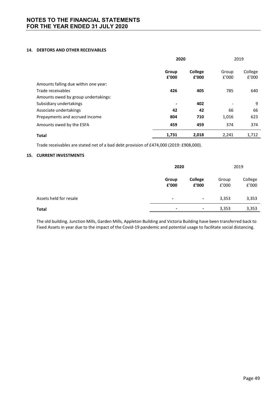#### **14. DEBTORS AND OTHER RECEIVABLES**

|                                      | 2020           |                         | 2019           |                  |
|--------------------------------------|----------------|-------------------------|----------------|------------------|
|                                      | Group<br>£'000 | <b>College</b><br>f'000 | Group<br>f'000 | College<br>f'000 |
| Amounts falling due within one year: |                |                         |                |                  |
| Trade receivables                    | 426            | 405                     | 785            | 640              |
| Amounts owed by group undertakings:  |                |                         |                |                  |
| Subsidiary undertakings              |                | 402                     |                | 9                |
| Associate undertakings               | 42             | 42                      | 66             | 66               |
| Prepayments and accrued income       | 804            | 710                     | 1,016          | 623              |
| Amounts owed by the ESFA             | 459            | 459                     | 374            | 374              |
| <b>Total</b>                         | 1,731          | 2,018                   | 2,241          | 1,712            |

Trade receivables are stated net of a bad debt provision of £474,000 (2019: £908,000).

#### **15. CURRENT INVESTMENTS**

|                        | 2020                     |                          |                | 2019             |  |
|------------------------|--------------------------|--------------------------|----------------|------------------|--|
|                        | Group<br>£'000           | College<br>£'000         | Group<br>£'000 | College<br>E'000 |  |
| Assets held for resale | $\overline{\phantom{a}}$ | $\overline{\phantom{a}}$ | 3,353          | 3,353            |  |
| <b>Total</b>           | $\blacksquare$           | ۰                        | 3,353          | 3,353            |  |

The old building. Junction Mills, Garden Mills, Appleton Building and Victoria Building have been transferred back to Fixed Assets in year due to the impact of the Covid-19 pandemic and potential usage to facilitate social distancing.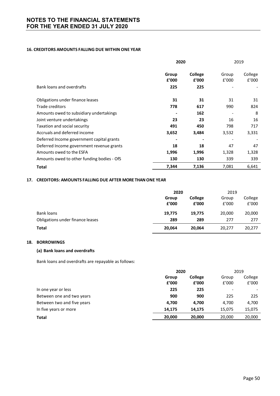#### **16. CREDITORS AMOUNTS FALLING DUE WITHIN ONE YEAR**

|                                            | 2020  |         | 2019  |         |
|--------------------------------------------|-------|---------|-------|---------|
|                                            | Group | College | Group | College |
|                                            | f'000 | f'000   | f'000 | f'000   |
| <b>Bank loans and overdrafts</b>           | 225   | 225     |       |         |
| Obligations under finance leases           | 31    | 31      | 31    | 31      |
| Trade creditors                            | 778   | 617     | 990   | 824     |
| Amounts owed to subsidiary undertakings    |       | 162     |       | 8       |
| Joint venture undertakings                 | 23    | 23      | 16    | 16      |
| Taxation and social security               | 491   | 450     | 798   | 717     |
| Accruals and deferred income               | 3,652 | 3,484   | 3,532 | 3,331   |
| Deferred Income government capital grants  |       |         |       |         |
| Deferred Income government revenue grants  | 18    | 18      | 47    | 47      |
| Amounts owed to the ESFA                   | 1,996 | 1,996   | 1,328 | 1,328   |
| Amounts owed to other funding bodies - OfS | 130   | 130     | 339   | 339     |
| <b>Total</b>                               | 7,344 | 7,136   | 7,081 | 6,641   |

#### **17. CREDITORS: AMOUNTS FALLING DUE AFTER MORE THAN ONE YEAR**

|                                  | 2020           |                         | 2019           |                  |
|----------------------------------|----------------|-------------------------|----------------|------------------|
|                                  | Group<br>£'000 | <b>College</b><br>£'000 | Group<br>f'000 | College<br>f'000 |
| Bank loans                       | 19,775         | 19,775                  | 20,000         | 20,000           |
| Obligations under finance leases | 289            | 289                     | 277            | 277              |
| <b>Total</b>                     | 20,064         | 20,064                  | 20,277         | 20,277           |

#### **18. BORROWINGS**

#### **(a) Bank loans and overdrafts**

Bank loans and overdrafts are repayable as follows:

|                            | 2020   |                | 2019   |         |
|----------------------------|--------|----------------|--------|---------|
|                            | Group  | <b>College</b> | Group  | College |
|                            | f'000  | f'000          | f'000  | f'000   |
| In one year or less        | 225    | 225            |        |         |
| Between one and two years  | 900    | 900            | 225    | 225     |
| Between two and five years | 4,700  | 4,700          | 4.700  | 4,700   |
| In five years or more      | 14,175 | 14,175         | 15,075 | 15,075  |
| Total                      | 20,000 | 20,000         | 20,000 | 20,000  |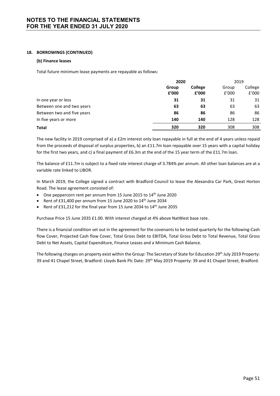#### **18. BORROWINGS (CONTINUED)**

#### **(b) Finance leases**

Total future minimum lease payments are repayable as follows:

|                            | 2020  |                | 2019  |         |
|----------------------------|-------|----------------|-------|---------|
|                            | Group | <b>College</b> | Group | College |
|                            | £'000 | f'000          | f'000 | f'000   |
| In one year or less        | 31    | 31             | 31    | 31      |
| Between one and two years  | 63    | 63             | 63    | 63      |
| Between two and five years | 86    | 86             | 86    | 86      |
| In five years or more      | 140   | 140            | 128   | 128     |
| <b>Total</b>               | 320   | 320            | 308   | 308     |

The new facility in 2019 comprised of a) a £2m interest only loan repayable in full at the end of 4 years unless repaid from the proceeds of disposal of surplus properties, b) an £11.7m loan repayable over 15 years with a capital holiday for the first two years, and c) a final payment of £6.3m at the end of the 15 year term of the £11.7m loan.

The balance of £11.7m is subject to a fixed rate interest charge of 3.784% per annum. All other loan balances are at a variable rate linked to LIBOR.

In March 2019, the College signed a contract with Bradford Council to lease the Alexandra Car Park, Great Horton Road. The lease agreement consisted of:

- One peppercorn rent per annum from 15 June 2015 to 14<sup>th</sup> June 2020
- Rent of £31,400 per annum from 15 June 2020 to 14th June 2034
- Rent of £31,212 for the final year from 15 June 2034 to 14<sup>th</sup> June 2035

Purchase Price 15 June 2035 £1.00. With interest charged at 4% above NatWest base rate.

There is a financial condition set out in the agreement for the covenants to be tested quarterly for the following-Cash flow Cover, Projected Cash flow Cover, Total Gross Debt to EBITDA, Total Gross Debt to Total Revenue, Total Gross Debt to Net Assets, Capital Expenditure, Finance Leases and a Minimum Cash Balance.

The following charges on property exist within the Group: The Secretary of State for Education 29<sup>th</sup> July 2019 Property: 39 and 41 Chapel Street, Bradford: Lloyds Bank Plc Date: 29th May 2019 Property: 39 and 41 Chapel Street, Bradford.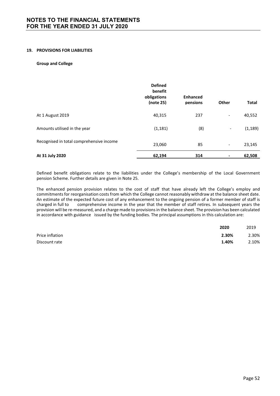#### **19. PROVISIONS FOR LIABILITIES**

#### **Group and College**

|                                          | <b>Defined</b><br>benefit<br>obligations<br>(note 25) | <b>Enhanced</b><br>pensions | <b>Other</b>             | <b>Total</b> |
|------------------------------------------|-------------------------------------------------------|-----------------------------|--------------------------|--------------|
| At 1 August 2019                         | 40,315                                                | 237                         | $\overline{\phantom{a}}$ | 40,552       |
| Amounts utilised in the year             | (1, 181)                                              | (8)                         | $\overline{\phantom{a}}$ | (1, 189)     |
| Recognised in total comprehensive income | 23,060                                                | 85                          | $\overline{\phantom{a}}$ | 23,145       |
| At 31 July 2020                          | 62,194                                                | 314                         |                          | 62,508       |

Defined benefit obligations relate to the liabilities under the College's membership of the Local Government pension Scheme. Further details are given in Note 25.

The enhanced pension provision relates to the cost of staff that have already left the College's employ and commitments for reorganisation costs from which the College cannot reasonably withdraw at the balance sheet date. An estimate of the expected future cost of any enhancement to the ongoing pension of a former member of staff is charged in full to comprehensive income in the year that the member of staff retires. In subsequent years the provision will be re-measured, and a charge made to provisions in the balance sheet. The provision has been calculated in accordance with guidance issued by the funding bodies. The principal assumptions in this calculation are:

|                 | 2020  | 2019  |
|-----------------|-------|-------|
| Price inflation | 2.30% | 2.30% |
| Discount rate   | 1.40% | 2.10% |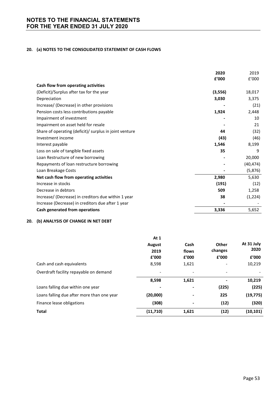### **20. (a) NOTES TO THE CONSOLIDATED STATEMENT OF CASH FLOWS**

|                                                        | 2020    | 2019      |
|--------------------------------------------------------|---------|-----------|
|                                                        | f'000   | f'000     |
| Cash flow from operating activities                    |         |           |
| (Deficit)/Surplus after tax for the year               | (3,556) | 18,017    |
| Depreciation                                           | 3,030   | 3,375     |
| Increase/ (Decrease) in other provisions               |         | (21)      |
| Pension costs less contributions payable               | 1,924   | 2,448     |
| Impairment of investment                               |         | 10        |
| Impairment on asset held for resale                    |         | 21        |
| Share of operating (deficit)/ surplus in joint venture | 44      | (32)      |
| Investment income                                      | (43)    | (46)      |
| Interest payable                                       | 1,546   | 8,199     |
| Loss on sale of tangible fixed assets                  | 35      | 9         |
| Loan Restructure of new borrowing                      |         | 20,000    |
| Repayments of loan restructure borrowing               |         | (40, 474) |
| Loan Breakage Costs                                    |         | (5, 876)  |
| Net cash flow from operating activities                | 2,980   | 5,630     |
| Increase in stocks                                     | (191)   | (12)      |
| Decrease in debtors                                    | 509     | 1,258     |
| Increase/ (Decrease) in creditors due within 1 year    | 38      | (1,224)   |
| Increase (Decrease) in creditors due after 1 year      |         |           |
| Cash generated from operations                         | 3,336   | 5,652     |

#### **20. (b) ANALYSIS OF CHANGE IN NET DEBT**

|                                            | At 1<br>August<br>2019<br>£'000 | Cash<br>flows<br>£'000 | <b>Other</b><br>changes<br>£'000 | At 31 July<br>2020<br>f'000 |
|--------------------------------------------|---------------------------------|------------------------|----------------------------------|-----------------------------|
| Cash and cash equivalents                  | 8,598                           | 1,621                  | $\overline{\phantom{a}}$         | 10,219                      |
| Overdraft facility repayable on demand     |                                 |                        | $\overline{\phantom{a}}$         |                             |
|                                            | 8,598                           | 1,621                  | $\overline{\phantom{0}}$         | 10,219                      |
| Loans falling due within one year          |                                 |                        | (225)                            | (225)                       |
| Loans falling due after more than one year | (20,000)                        | ٠                      | 225                              | (19, 775)                   |
| Finance lease obligations                  | (308)                           |                        | (12)                             | (320)                       |
| <b>Total</b>                               | (11,710)                        | 1,621                  | (12)                             | (10, 101)                   |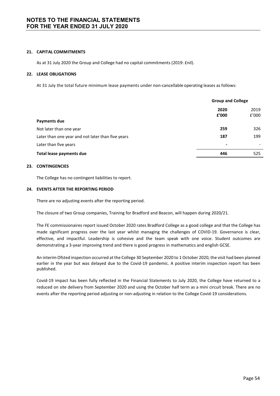#### **21. CAPITAL COMMITMENTS**

As at 31 July 2020 the Group and College had no capital commitments (2019: £nil).

#### **22. LEASE OBLIGATIONS**

At 31 July the total future minimum lease payments under non-cancellable operating leases as follows:

|                                                   | <b>Group and College</b> |               |  |
|---------------------------------------------------|--------------------------|---------------|--|
|                                                   | 2020<br>£'000            | 2019<br>£'000 |  |
| Payments due                                      |                          |               |  |
| Not later than one year                           | 259                      | 326           |  |
| Later than one year and not later than five years | 187                      | 199           |  |
| Later than five years                             | $\overline{\phantom{0}}$ |               |  |
| Total lease payments due                          | 446                      | 525           |  |

#### **23. CONTINGENCIES**

The College has no contingent liabilities to report.

#### **24. EVENTS AFTER THE REPORTING PERIOD**

There are no adjusting events after the reporting period.

The closure of two Group companies, Training for Bradford and Beacon, will happen during 2020/21.

The FE commissionaires report issued October 2020 rates Bradford College as a good college and that the College has made significant progress over the last year whilst managing the challenges of COVID-19. Governance is clear, effective, and impactful. Leadership is cohesive and the team speak with one voice. Student outcomes are demonstrating a 3-year improving trend and there is good progress in mathematics and english GCSE.

An interim Ofsted inspection occurred at the College 30 September 2020 to 1 October 2020, the visit had been planned earlier in the year but was delayed due to the Covid-19 pandemic. A positive interim inspection report has been published.

Covid-19 impact has been fully reflected in the Financial Statements to July 2020, the College have returned to a reduced on site delivery from September 2020 and using the October half term as a mini circuit break. There are no events after the reporting period adjusting or non-adjusting in relation to the College Covid-19 considerations.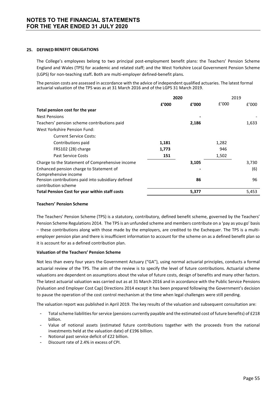#### **25. DEFINED BENEFIT OBLIGATIONS**

The College's employees belong to two principal post-employment benefit plans: the Teachers' Pension Scheme England and Wales (TPS) for academic and related staff; and the West Yorkshire Local Government Pension Scheme (LGPS) for non-teaching staff**.** Both are multi-employer defined-benefit plans.

The pension costs are assessed in accordance with the advice of independent qualified actuaries. The latest formal actuarial valuation of the TPS was as at 31 March 2016 and of the LGPS 31 March 2019.

|                                                       | 2020  |       | 2019  |       |
|-------------------------------------------------------|-------|-------|-------|-------|
|                                                       | £'000 | f'000 | f'000 | f'000 |
| Total pension cost for the year                       |       |       |       |       |
| <b>Nest Pensions</b>                                  |       |       |       |       |
| Teachers' pension scheme contributions paid           |       | 2,186 |       | 1,633 |
| West Yorkshire Pension Fund:                          |       |       |       |       |
| <b>Current Service Costs:</b>                         |       |       |       |       |
| Contributions paid                                    | 1,181 |       | 1,282 |       |
| FRS102 (28) charge                                    | 1,773 |       | 946   |       |
| Past Service Costs                                    | 151   |       | 1,502 |       |
| Charge to the Statement of Comprehensive income       |       | 3,105 |       | 3,730 |
| Enhanced pension charge to Statement of               |       |       |       | (6)   |
| Comprehensive income                                  |       |       |       |       |
| Pension contributions paid into subsidiary defined    |       | 86    |       | 96    |
| contribution scheme                                   |       |       |       |       |
| <b>Total Pension Cost for year within staff costs</b> |       | 5,377 |       | 5,453 |

#### **Teachers' Pension Scheme**

The Teachers' Pension Scheme (TPS) is a statutory, contributory, defined benefit scheme, governed by the Teachers' Pension Scheme Regulations 2014. The TPS is an unfunded scheme and members contribute on a 'pay as you go' basis – these contributions along with those made by the employers, are credited to the Exchequer. The TPS is a multiemployer pension plan and there is insufficient information to account for the scheme on as a defined benefit plan so it is account for as a defined contribution plan.

#### **Valuation of the Teachers' Pension Scheme**

Not less than every four years the Government Actuary ("GA"), using normal actuarial principles, conducts a formal actuarial review of the TPS. The aim of the review is to specify the level of future contributions. Actuarial scheme valuations are dependent on assumptions about the value of future costs, design of benefits and many other factors. The latest actuarial valuation was carried out as at 31 March 2016 and in accordance with the Public Service Pensions (Valuation and Employer Cost Cap) Directions 2014 except it has been prepared following the Government's decision to pause the operation of the cost control mechanism at the time when legal challenges were still pending.

The valuation report was published in April 2019. The key results of the valuation and subsequent consultation are:

- Total scheme liabilities for service (pensions currently payable and the estimated cost of future benefits) of £218 billion.
- Value of notional assets (estimated future contributions together with the proceeds from the national investments held at the valuation date) of £196 billion.
- Notional past service deficit of £22 billion.
- Discount rate of 2.4% in excess of CPI.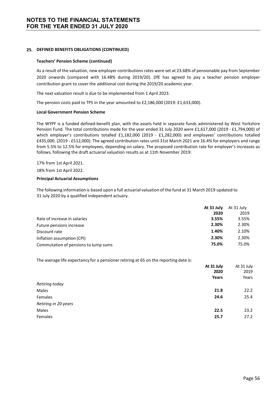#### **25. DEFINED BENEFITS OBLIGATIONS (CONTINUED)**

#### **Teachers' Pension Scheme (continued)**

As a result of the valuation, new employer contributions rates were set at 23.68% of pensionable pay from September 2020 onwards (compared with 16.48% during 2019/20). DfE has agreed to pay a teacher pension employer contribution grant to cover the additional cost during the 2019/20 academic year.

The next valuation result is due to be implemented from 1 April 2023.

The pension costs paid to TPS in the year amounted to £2,186,000 (2019: £1,633,000).

#### **Local Government Pension Scheme**

The WYPF is a funded defined-benefit plan, with the assets held in separate funds administered by West Yorkshire Pension Fund. The total contributions made for the year ended 31 July 2020 were £1,617,000 (2019 - £1,794,000) of which employer's contributions totalled £1,182,000 (2019 - £1,282,000) and employees' contributions totalled £435,000. (2019 - £512,000). The agreed contribution rates until 31st March 2021 are 16.4% for employers and range from 5.5% to 12.5% for employees, depending on salary. The proposed contribution rate for employer's increases as follows, following the draft actuarial valuation results as at 11th November 2019:

17% from 1st April 2021.

18% from 1st April 2022.

#### **Principal Actuarial Assumptions**

The following information is based upon a full actuarial valuation of the fund at 31 March 2019 updated to 31 July 2020 by a qualified independent actuary.

|       | At 31 July |
|-------|------------|
| 2020  | 2019       |
| 3.55% | 3.55%      |
| 2.30% | 2.30%      |
| 1.40% | 2.10%      |
| 2.30% | 2.30%      |
| 75.0% | 75.0%      |
|       | At 31 July |

The average life expectancy for a pensioner retiring at 65 on the reporting date is:

| ັ                    | . . | $\overline{\phantom{a}}$ |  | ັ | . . | ັ     |                    |                    |
|----------------------|-----|--------------------------|--|---|-----|-------|--------------------|--------------------|
|                      |     |                          |  |   |     |       | At 31 July<br>2020 | At 31 July<br>2019 |
|                      |     |                          |  |   |     | Years | Years              |                    |
| Retiring today       |     |                          |  |   |     |       |                    |                    |
| Males                |     |                          |  |   |     |       | 21.8               | 22.2               |
| Females              |     |                          |  |   |     |       | 24.6               | 25.4               |
| Retiring in 20 years |     |                          |  |   |     |       |                    |                    |
| Males                |     |                          |  |   |     |       | 22.5               | 23.2               |
| Females              |     |                          |  |   |     |       | 25.7               | 27.2               |
|                      |     |                          |  |   |     |       |                    |                    |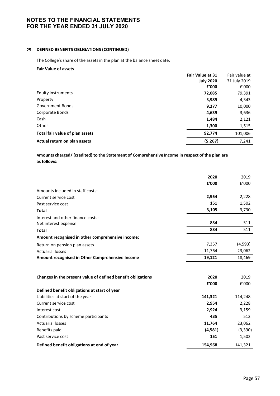#### **25. DEFINED BENEFITS OBLIGATIONS (CONTINUED)**

The College's share of the assets in the plan at the balance sheet date:

#### **Fair Value of assets**

|                                 | Fair Value at 31 | Fair value at |
|---------------------------------|------------------|---------------|
|                                 | <b>July 2020</b> | 31 July 2019  |
|                                 | £'000            | f'000         |
| <b>Equity instruments</b>       | 72,085           | 79,391        |
| Property                        | 3,989            | 4,343         |
| <b>Government Bonds</b>         | 9,277            | 10,000        |
| Corporate Bonds                 | 4,639            | 3,636         |
| Cash                            | 1,484            | 2,121         |
| Other                           | 1,300            | 1,515         |
| Total fair value of plan assets | 92,774           | 101,006       |
| Actual return on plan assets    | (5, 267)         | 7,241         |

### **Amounts charged/ (credited) to the Statement of Comprehensive Income in respect of the plan are as follows:**

|                                                             | 2020    | 2019     |
|-------------------------------------------------------------|---------|----------|
|                                                             | f'000   | f'000    |
| Amounts included in staff costs:                            |         |          |
| Current service cost                                        | 2,954   | 2,228    |
| Past service cost                                           | 151     | 1,502    |
| Total                                                       | 3,105   | 3,730    |
| Interest and other finance costs:                           |         |          |
| Net interest expense                                        | 834     | 511      |
| <b>Total</b>                                                | 834     | 511      |
| Amount recognised in other comprehensive income:            |         |          |
| Return on pension plan assets                               | 7,357   | (4,593)  |
| <b>Actuarial losses</b>                                     | 11,764  | 23,062   |
| Amount recognised in Other Comprehensive Income             | 19,121  | 18,469   |
|                                                             |         |          |
| Changes in the present value of defined benefit obligations | 2020    | 2019     |
|                                                             | £'000   | f'000    |
| Defined benefit obligations at start of year                |         |          |
| Liabilities at start of the year                            | 141,321 | 114,248  |
| Current service cost                                        | 2,954   | 2,228    |
| Interest cost                                               | 2,924   | 3,159    |
| Contributions by scheme participants                        | 435     | 512      |
| <b>Actuarial losses</b>                                     | 11,764  | 23,062   |
| Benefits paid                                               | (4,581) | (3, 390) |
| Past service cost                                           | 151     | 1,502    |
| Defined benefit obligations at end of year                  | 154,968 | 141,321  |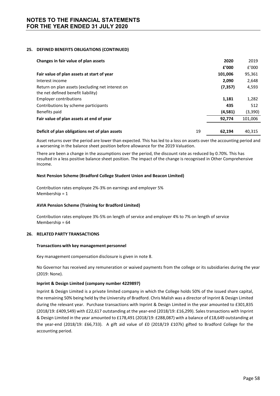#### **25. DEFINED BENEFITS OBLIGATIONS (CONTINUED)**

| Changes in fair value of plan assets                                                   | 2020     | 2019    |
|----------------------------------------------------------------------------------------|----------|---------|
|                                                                                        | f'000    | f'000   |
| Fair value of plan assets at start of year                                             | 101.006  | 95,361  |
| Interest income                                                                        | 2.090    | 2,648   |
| Return on plan assets (excluding net interest on<br>the net defined benefit liability) | (7, 357) | 4,593   |
| <b>Employer contributions</b>                                                          | 1,181    | 1,282   |
| Contributions by scheme participants                                                   | 435      | 512     |
| Benefits paid                                                                          | (4,581)  | (3,390) |
| Fair value of plan assets at end of year                                               | 92,774   | 101,006 |
| Deficit of plan obligations net of plan assets<br>19                                   | 62.194   | 40.315  |

 Asset returns over the period are lower than expected. This has led to a loss on assets over the accounting period and a worsening in the balance sheet position before allowance for the 2019 Valuation.

 There are been a change in the assumptions over the period, the discount rate as reduced by 0.70%. This has resulted in a less positive balance sheet position. The impact of the change is recognised in Other Comprehensive Income.

#### **Nest Pension Scheme (Bradford College Student Union and Beacon Limited)**

Contribution rates employee 2%-3% on earnings and employer 5% Membership = 1

#### **AVIA Pension Scheme (Training for Bradford Limited)**

Contribution rates employee 3%-5% on length of service and employer 4% to 7% on length of service Membership = 64

#### **26. RELATED PARTY TRANSACTIONS**

#### **Transactions with key management personnel**

Key management compensation disclosure is given in note 8.

No Governor has received any remuneration or waived payments from the college or its subsidiaries during the year (2019: None).

#### **Inprint & Design Limited (company number 4229897)**

Inprint & Design Limited is a private limited company in which the College holds 50% of the issued share capital, the remaining 50% being held by the University of Bradford. Chris Malish was a director of Inprint & Design Limited during the relevant year. Purchase transactions with Inprint & Design Limited in the year amounted to £301,835 (2018/19: £409,549) with £22,617 outstanding at the year-end (2018/19: £16,299). Sales transactions with Inprint & Design Limited in the year amounted to £178,491 (2018/19: £288,087) with a balance of £18,649 outstanding at the year-end (2018/19: £66,733). A gift aid value of £0 (2018/19 £107k) gifted to Bradford College for the accounting period.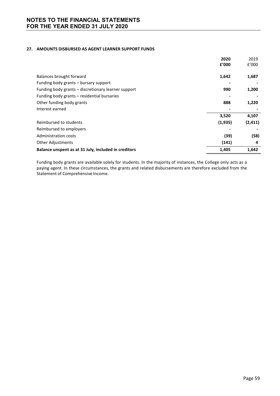#### **27. AMOUNTS DISBURSED AS AGENT LEARNER SUPPORT FUNDS**

|                                                      | 2020    | 2019     |
|------------------------------------------------------|---------|----------|
|                                                      | f'000   | f'000    |
| Balances brought forward                             | 1,642   | 1,687    |
| Funding body grants – bursary support                |         |          |
| Funding body grants – discretionary learner support  | 990     | 1,200    |
| Funding body grants – residential bursaries          |         |          |
| Other funding body grants                            | 888     | 1,220    |
| Interest earned                                      |         |          |
|                                                      | 3,520   | 4,107    |
| Reimbursed to students                               | (1,935) | (2, 411) |
| Reimbursed to employers                              |         |          |
| <b>Administration costs</b>                          | (39)    | (58)     |
| Other Adjustments                                    | (141)   | 4        |
| Balance unspent as at 31 July, included in creditors | 1,405   | 1,642    |

Funding body grants are available solely for students. In the majority of instances, the College only acts as a paying agent. In these circumstances, the grants and related disbursements are therefore excluded from the Statement of Comprehensive Income.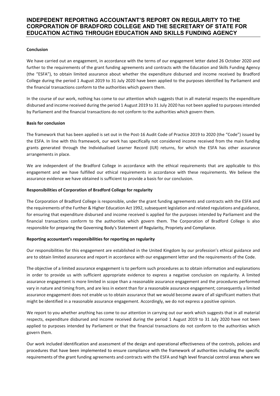### **INDEPEDENT REPORTING ACCOUNTANT'S REPORT ON REGULARITY TO THE CORPORATION OF BRADFORD COLLEGE AND THE SECRETARY OF STATE FOR EDUCATION ACTING THROUGH EDUCATION AND SKILLS FUNDING AGENCY**

#### **Conclusion**

We have carried out an engagement, in accordance with the terms of our engagement letter dated 26 October 2020 and further to the requirements of the grant funding agreements and contracts with the Education and Skills Funding Agency (the "ESFA"), to obtain limited assurance about whether the expenditure disbursed and income received by Bradford College during the period 1 August 2019 to 31 July 2020 have been applied to the purposes identified by Parliament and the financial transactions conform to the authorities which govern them.

In the course of our work, nothing has come to our attention which suggests that in all material respects the expenditure disbursed and income received during the period 1 August 2019 to 31 July 2020 has not been applied to purposes intended by Parliament and the financial transactions do not conform to the authorities which govern them.

#### **Basis for conclusion**

The framework that has been applied is set out in the Post-16 Audit Code of Practice 2019 to 2020 (the "Code") issued by the ESFA. In line with this framework, our work has specifically not considered income received from the main funding grants generated through the Individualised Learner Record (ILR) returns, for which the ESFA has other assurance arrangements in place.

We are independent of the Bradford College in accordance with the ethical requirements that are applicable to this engagement and we have fulfilled our ethical requirements in accordance with these requirements. We believe the assurance evidence we have obtained is sufficient to provide a basis for our conclusion.

#### **Responsibilities of Corporation of Bradford College for regularity**

The Corporation of Bradford College is responsible, under the grant funding agreements and contracts with the ESFA and the requirements of the Further & Higher Education Act 1992, subsequent legislation and related regulations and guidance, for ensuring that expenditure disbursed and income received is applied for the purposes intended by Parliament and the financial transactions conform to the authorities which govern them. The Corporation of Bradford College is also responsible for preparing the Governing Body's Statement of Regularity, Propriety and Compliance.

#### **Reporting accountant's responsibilities for reporting on regularity**

Our responsibilities for this engagement are established in the United Kingdom by our profession's ethical guidance and are to obtain limited assurance and report in accordance with our engagement letter and the requirements of the Code.

The objective of a limited assurance engagement is to perform such procedures as to obtain information and explanations in order to provide us with sufficient appropriate evidence to express a negative conclusion on regularity. A limited assurance engagement is more limited in scope than a reasonable assurance engagement and the procedures performed vary in nature and timing from, and are less in extent than for a reasonable assurance engagement; consequently a limited assurance engagement does not enable us to obtain assurance that we would become aware of all significant matters that might be identified in a reasonable assurance engagement. Accordingly, we do not express a positive opinion.

We report to you whether anything has come to our attention in carrying out our work which suggests that in all material respects, expenditure disbursed and income received during the period 1 August 2019 to 31 July 2020 have not been applied to purposes intended by Parliament or that the financial transactions do not conform to the authorities which govern them.

Our work included identification and assessment of the design and operational effectiveness of the controls, policies and procedures that have been implemented to ensure compliance with the framework of authorities including the specific requirements of the grant funding agreements and contracts with the ESFA and high level financial control areas where we